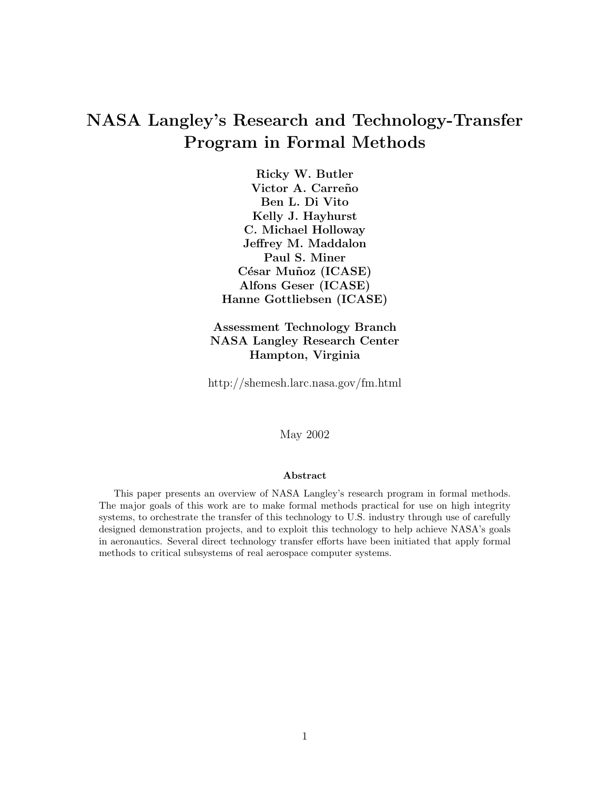# NASA Langley's Research and Technology-Transfer Program in Formal Methods

Ricky W. Butler Victor A. Carreño Ben L. Di Vito Kelly J. Hayhurst C. Michael Holloway Jeffrey M. Maddalon Paul S. Miner César Muñoz (ICASE) Alfons Geser (ICASE) Hanne Gottliebsen (ICASE)

Assessment Technology Branch NASA Langley Research Center Hampton, Virginia

http://shemesh.larc.nasa.gov/fm.html

May 2002

#### Abstract

This paper presents an overview of NASA Langley's research program in formal methods. The major goals of this work are to make formal methods practical for use on high integrity systems, to orchestrate the transfer of this technology to U.S. industry through use of carefully designed demonstration projects, and to exploit this technology to help achieve NASA's goals in aeronautics. Several direct technology transfer efforts have been initiated that apply formal methods to critical subsystems of real aerospace computer systems.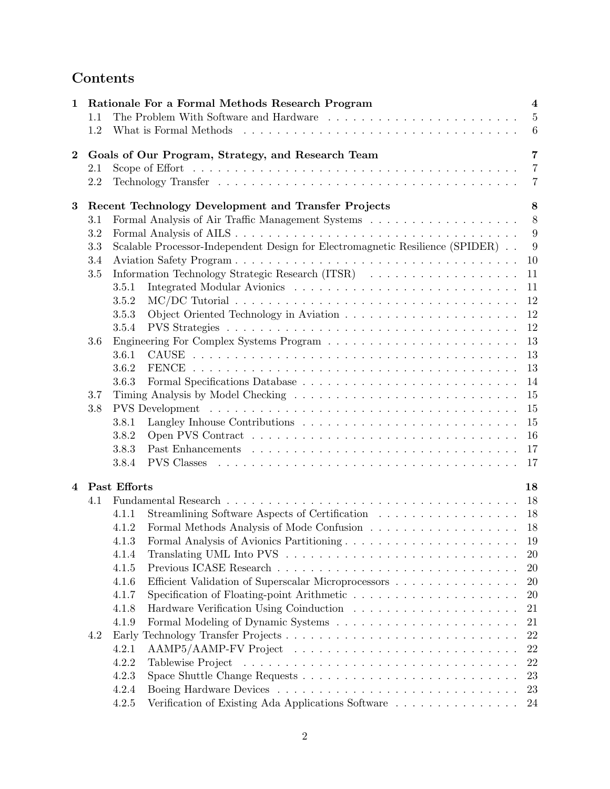# Contents

| $\mathbf{1}$   |         | Rationale For a Formal Methods Research Program<br>$\overline{\mathbf{4}}$    |                |  |  |  |  |  |
|----------------|---------|-------------------------------------------------------------------------------|----------------|--|--|--|--|--|
|                | 1.1     |                                                                               | $\overline{5}$ |  |  |  |  |  |
|                | 1.2     |                                                                               | 6              |  |  |  |  |  |
|                |         |                                                                               |                |  |  |  |  |  |
| $\bf{2}$       |         | Goals of Our Program, Strategy, and Research Team                             | $\overline{7}$ |  |  |  |  |  |
|                | $2.1\,$ |                                                                               | $\overline{7}$ |  |  |  |  |  |
|                | 2.2     |                                                                               | $\overline{7}$ |  |  |  |  |  |
| 3              |         | Recent Technology Development and Transfer Projects                           | 8              |  |  |  |  |  |
|                | 3.1     |                                                                               | 8              |  |  |  |  |  |
|                | 3.2     |                                                                               | 9              |  |  |  |  |  |
|                | 3.3     | Scalable Processor-Independent Design for Electromagnetic Resilience (SPIDER) |                |  |  |  |  |  |
|                | 3.4     |                                                                               | 9<br>10        |  |  |  |  |  |
|                | $3.5\,$ | Information Technology Strategic Research (ITSR)<br>11                        |                |  |  |  |  |  |
|                |         | 11<br>3.5.1                                                                   |                |  |  |  |  |  |
|                |         | 12<br>3.5.2                                                                   |                |  |  |  |  |  |
|                |         | 12<br>3.5.3                                                                   |                |  |  |  |  |  |
|                |         | 12<br>3.5.4                                                                   |                |  |  |  |  |  |
|                | 3.6     | 13                                                                            |                |  |  |  |  |  |
|                |         | 13<br>3.6.1                                                                   |                |  |  |  |  |  |
|                |         | 13<br>3.6.2                                                                   |                |  |  |  |  |  |
|                |         | 3.6.3<br>14                                                                   |                |  |  |  |  |  |
|                | 3.7     | 15                                                                            |                |  |  |  |  |  |
|                | 3.8     | 15                                                                            |                |  |  |  |  |  |
|                |         | 15<br>3.8.1                                                                   |                |  |  |  |  |  |
|                |         | 3.8.2<br>16                                                                   |                |  |  |  |  |  |
|                |         | 3.8.3<br>17                                                                   |                |  |  |  |  |  |
|                |         | <b>PVS</b> Classes<br>3.8.4<br>17                                             |                |  |  |  |  |  |
|                |         |                                                                               |                |  |  |  |  |  |
| $\overline{4}$ |         | Past Efforts<br>18                                                            |                |  |  |  |  |  |
|                | 4.1     | 18                                                                            |                |  |  |  |  |  |
|                |         | Streamlining Software Aspects of Certification<br>18<br>4.1.1                 |                |  |  |  |  |  |
|                |         | 4.1.2<br>18                                                                   |                |  |  |  |  |  |
|                |         | 19<br>4.1.3                                                                   |                |  |  |  |  |  |
|                |         | 4.1.4                                                                         | 20             |  |  |  |  |  |
|                |         | 4.1.5                                                                         | 20             |  |  |  |  |  |
|                |         | Efficient Validation of Superscalar Microprocessors<br>4.1.6<br>20            |                |  |  |  |  |  |
|                |         | 4.1.7<br><b>20</b>                                                            |                |  |  |  |  |  |
|                |         | 4.1.8<br>21                                                                   |                |  |  |  |  |  |
|                |         | 4.1.9<br>21                                                                   |                |  |  |  |  |  |
|                | 4.2     |                                                                               | $22\,$         |  |  |  |  |  |
|                |         | 4.2.1                                                                         | 22             |  |  |  |  |  |
|                |         | $22\,$<br>4.2.2                                                               |                |  |  |  |  |  |
|                |         | 4.2.3<br>23                                                                   |                |  |  |  |  |  |
|                |         | 4.2.4                                                                         | 23             |  |  |  |  |  |
|                |         | Verification of Existing Ada Applications Software<br>4.2.5<br>24             |                |  |  |  |  |  |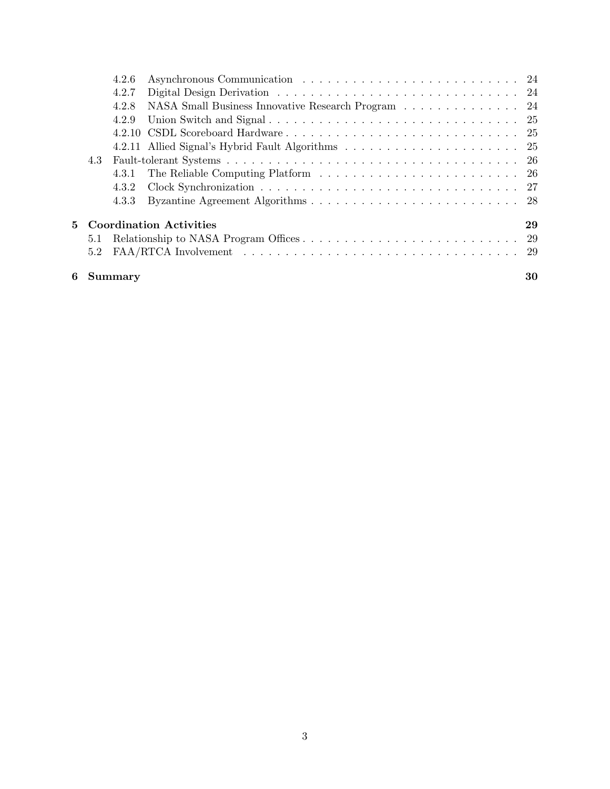|                           |     | 6 Summary |                                                    | 30 |
|---------------------------|-----|-----------|----------------------------------------------------|----|
|                           | 5.2 |           |                                                    |    |
|                           | 5.1 |           |                                                    |    |
| 5 Coordination Activities |     |           |                                                    | 29 |
|                           |     | 4.3.3     |                                                    |    |
|                           |     | 4.3.2     |                                                    |    |
|                           |     |           |                                                    |    |
|                           | 4.3 |           |                                                    |    |
|                           |     |           |                                                    |    |
|                           |     |           |                                                    |    |
|                           |     | 4.2.9     |                                                    |    |
|                           |     | 4.2.8     | NASA Small Business Innovative Research Program 24 |    |
|                           |     | 4.2.7     |                                                    |    |
| 4.2.6                     |     |           |                                                    |    |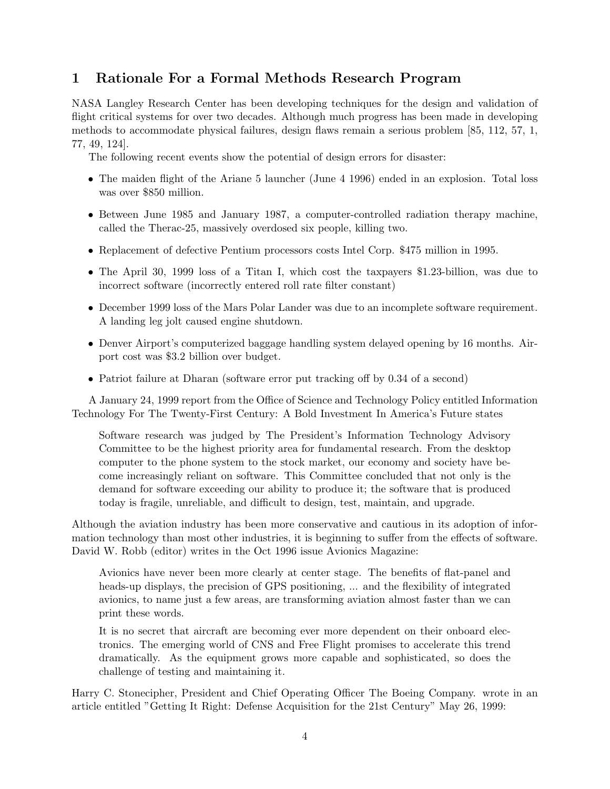# 1 Rationale For a Formal Methods Research Program

NASA Langley Research Center has been developing techniques for the design and validation of flight critical systems for over two decades. Although much progress has been made in developing methods to accommodate physical failures, design flaws remain a serious problem [85, 112, 57, 1, 77, 49, 124].

The following recent events show the potential of design errors for disaster:

- The maiden flight of the Ariane 5 launcher (June 4 1996) ended in an explosion. Total loss was over \$850 million.
- Between June 1985 and January 1987, a computer-controlled radiation therapy machine, called the Therac-25, massively overdosed six people, killing two.
- Replacement of defective Pentium processors costs Intel Corp. \$475 million in 1995.
- The April 30, 1999 loss of a Titan I, which cost the taxpayers \$1.23-billion, was due to incorrect software (incorrectly entered roll rate filter constant)
- December 1999 loss of the Mars Polar Lander was due to an incomplete software requirement. A landing leg jolt caused engine shutdown.
- Denver Airport's computerized baggage handling system delayed opening by 16 months. Airport cost was \$3.2 billion over budget.
- Patriot failure at Dharan (software error put tracking off by 0.34 of a second)

A January 24, 1999 report from the Office of Science and Technology Policy entitled Information Technology For The Twenty-First Century: A Bold Investment In America's Future states

Software research was judged by The President's Information Technology Advisory Committee to be the highest priority area for fundamental research. From the desktop computer to the phone system to the stock market, our economy and society have become increasingly reliant on software. This Committee concluded that not only is the demand for software exceeding our ability to produce it; the software that is produced today is fragile, unreliable, and difficult to design, test, maintain, and upgrade.

Although the aviation industry has been more conservative and cautious in its adoption of information technology than most other industries, it is beginning to suffer from the effects of software. David W. Robb (editor) writes in the Oct 1996 issue Avionics Magazine:

Avionics have never been more clearly at center stage. The benefits of flat-panel and heads-up displays, the precision of GPS positioning, ... and the flexibility of integrated avionics, to name just a few areas, are transforming aviation almost faster than we can print these words.

It is no secret that aircraft are becoming ever more dependent on their onboard electronics. The emerging world of CNS and Free Flight promises to accelerate this trend dramatically. As the equipment grows more capable and sophisticated, so does the challenge of testing and maintaining it.

Harry C. Stonecipher, President and Chief Operating Officer The Boeing Company. wrote in an article entitled "Getting It Right: Defense Acquisition for the 21st Century" May 26, 1999: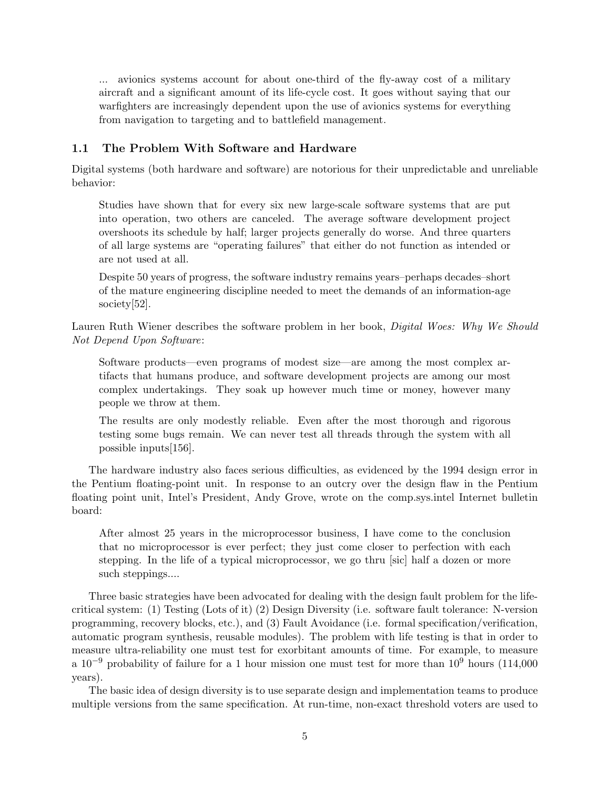... avionics systems account for about one-third of the fly-away cost of a military aircraft and a significant amount of its life-cycle cost. It goes without saying that our warfighters are increasingly dependent upon the use of avionics systems for everything from navigation to targeting and to battlefield management.

# 1.1 The Problem With Software and Hardware

Digital systems (both hardware and software) are notorious for their unpredictable and unreliable behavior:

Studies have shown that for every six new large-scale software systems that are put into operation, two others are canceled. The average software development project overshoots its schedule by half; larger projects generally do worse. And three quarters of all large systems are "operating failures" that either do not function as intended or are not used at all.

Despite 50 years of progress, the software industry remains years–perhaps decades–short of the mature engineering discipline needed to meet the demands of an information-age society<sup>[52]</sup>.

Lauren Ruth Wiener describes the software problem in her book, Digital Woes: Why We Should Not Depend Upon Software:

Software products—even programs of modest size—are among the most complex artifacts that humans produce, and software development projects are among our most complex undertakings. They soak up however much time or money, however many people we throw at them.

The results are only modestly reliable. Even after the most thorough and rigorous testing some bugs remain. We can never test all threads through the system with all possible inputs[156].

The hardware industry also faces serious difficulties, as evidenced by the 1994 design error in the Pentium floating-point unit. In response to an outcry over the design flaw in the Pentium floating point unit, Intel's President, Andy Grove, wrote on the comp.sys.intel Internet bulletin board:

After almost 25 years in the microprocessor business, I have come to the conclusion that no microprocessor is ever perfect; they just come closer to perfection with each stepping. In the life of a typical microprocessor, we go thru [sic] half a dozen or more such steppings....

Three basic strategies have been advocated for dealing with the design fault problem for the lifecritical system: (1) Testing (Lots of it) (2) Design Diversity (i.e. software fault tolerance: N-version programming, recovery blocks, etc.), and (3) Fault Avoidance (i.e. formal specification/verification, automatic program synthesis, reusable modules). The problem with life testing is that in order to measure ultra-reliability one must test for exorbitant amounts of time. For example, to measure a  $10^{-9}$  probability of failure for a 1 hour mission one must test for more than  $10^{9}$  hours (114,000) years).

The basic idea of design diversity is to use separate design and implementation teams to produce multiple versions from the same specification. At run-time, non-exact threshold voters are used to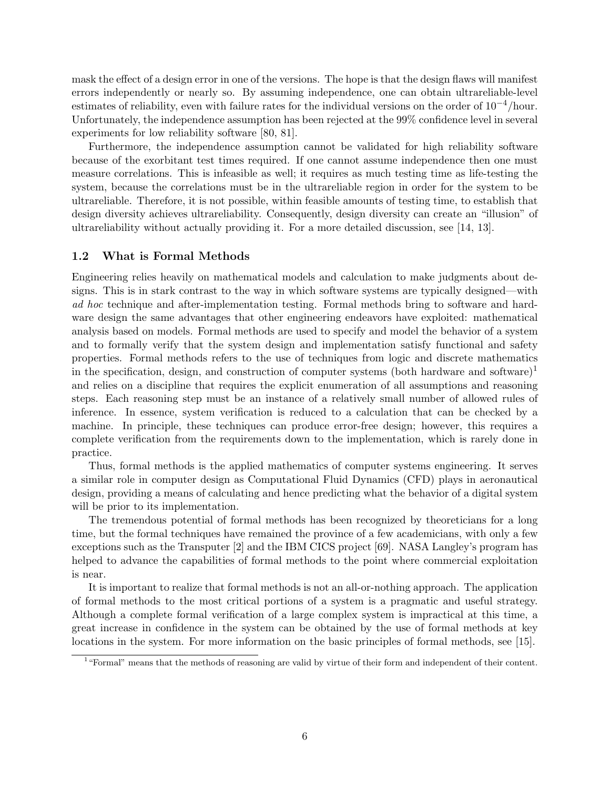mask the effect of a design error in one of the versions. The hope is that the design flaws will manifest errors independently or nearly so. By assuming independence, one can obtain ultrareliable-level estimates of reliability, even with failure rates for the individual versions on the order of  $10^{-4}/h$ our. Unfortunately, the independence assumption has been rejected at the 99% confidence level in several experiments for low reliability software [80, 81].

Furthermore, the independence assumption cannot be validated for high reliability software because of the exorbitant test times required. If one cannot assume independence then one must measure correlations. This is infeasible as well; it requires as much testing time as life-testing the system, because the correlations must be in the ultrareliable region in order for the system to be ultrareliable. Therefore, it is not possible, within feasible amounts of testing time, to establish that design diversity achieves ultrareliability. Consequently, design diversity can create an "illusion" of ultrareliability without actually providing it. For a more detailed discussion, see [14, 13].

#### 1.2 What is Formal Methods

Engineering relies heavily on mathematical models and calculation to make judgments about designs. This is in stark contrast to the way in which software systems are typically designed—with ad hoc technique and after-implementation testing. Formal methods bring to software and hardware design the same advantages that other engineering endeavors have exploited: mathematical analysis based on models. Formal methods are used to specify and model the behavior of a system and to formally verify that the system design and implementation satisfy functional and safety properties. Formal methods refers to the use of techniques from logic and discrete mathematics in the specification, design, and construction of computer systems (both hardware and software)<sup>1</sup> and relies on a discipline that requires the explicit enumeration of all assumptions and reasoning steps. Each reasoning step must be an instance of a relatively small number of allowed rules of inference. In essence, system verification is reduced to a calculation that can be checked by a machine. In principle, these techniques can produce error-free design; however, this requires a complete verification from the requirements down to the implementation, which is rarely done in practice.

Thus, formal methods is the applied mathematics of computer systems engineering. It serves a similar role in computer design as Computational Fluid Dynamics (CFD) plays in aeronautical design, providing a means of calculating and hence predicting what the behavior of a digital system will be prior to its implementation.

The tremendous potential of formal methods has been recognized by theoreticians for a long time, but the formal techniques have remained the province of a few academicians, with only a few exceptions such as the Transputer [2] and the IBM CICS project [69]. NASA Langley's program has helped to advance the capabilities of formal methods to the point where commercial exploitation is near.

It is important to realize that formal methods is not an all-or-nothing approach. The application of formal methods to the most critical portions of a system is a pragmatic and useful strategy. Although a complete formal verification of a large complex system is impractical at this time, a great increase in confidence in the system can be obtained by the use of formal methods at key locations in the system. For more information on the basic principles of formal methods, see [15].

<sup>&</sup>lt;sup>1</sup> "Formal" means that the methods of reasoning are valid by virtue of their form and independent of their content.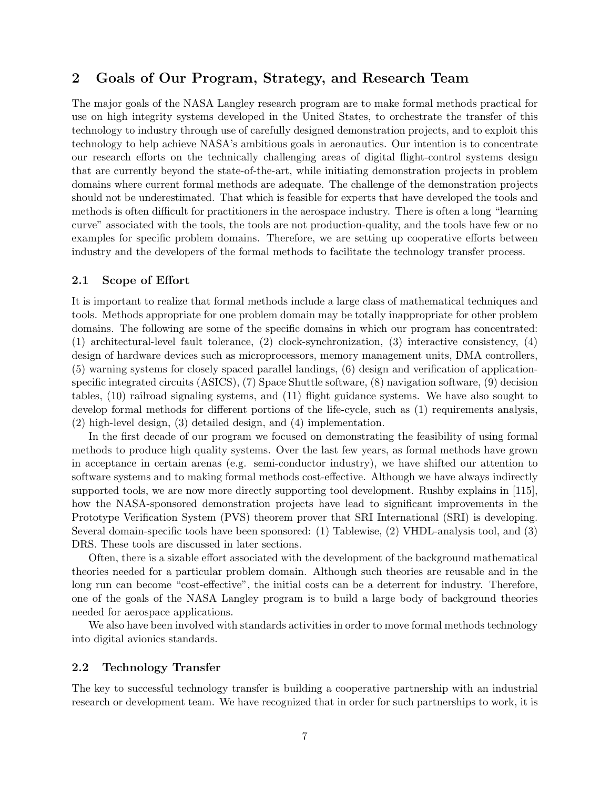# 2 Goals of Our Program, Strategy, and Research Team

The major goals of the NASA Langley research program are to make formal methods practical for use on high integrity systems developed in the United States, to orchestrate the transfer of this technology to industry through use of carefully designed demonstration projects, and to exploit this technology to help achieve NASA's ambitious goals in aeronautics. Our intention is to concentrate our research efforts on the technically challenging areas of digital flight-control systems design that are currently beyond the state-of-the-art, while initiating demonstration projects in problem domains where current formal methods are adequate. The challenge of the demonstration projects should not be underestimated. That which is feasible for experts that have developed the tools and methods is often difficult for practitioners in the aerospace industry. There is often a long "learning curve" associated with the tools, the tools are not production-quality, and the tools have few or no examples for specific problem domains. Therefore, we are setting up cooperative efforts between industry and the developers of the formal methods to facilitate the technology transfer process.

#### 2.1 Scope of Effort

It is important to realize that formal methods include a large class of mathematical techniques and tools. Methods appropriate for one problem domain may be totally inappropriate for other problem domains. The following are some of the specific domains in which our program has concentrated: (1) architectural-level fault tolerance, (2) clock-synchronization, (3) interactive consistency, (4) design of hardware devices such as microprocessors, memory management units, DMA controllers, (5) warning systems for closely spaced parallel landings, (6) design and verification of applicationspecific integrated circuits (ASICS), (7) Space Shuttle software, (8) navigation software, (9) decision tables, (10) railroad signaling systems, and (11) flight guidance systems. We have also sought to develop formal methods for different portions of the life-cycle, such as (1) requirements analysis, (2) high-level design, (3) detailed design, and (4) implementation.

In the first decade of our program we focused on demonstrating the feasibility of using formal methods to produce high quality systems. Over the last few years, as formal methods have grown in acceptance in certain arenas (e.g. semi-conductor industry), we have shifted our attention to software systems and to making formal methods cost-effective. Although we have always indirectly supported tools, we are now more directly supporting tool development. Rushby explains in [115], how the NASA-sponsored demonstration projects have lead to significant improvements in the Prototype Verification System (PVS) theorem prover that SRI International (SRI) is developing. Several domain-specific tools have been sponsored: (1) Tablewise, (2) VHDL-analysis tool, and (3) DRS. These tools are discussed in later sections.

Often, there is a sizable effort associated with the development of the background mathematical theories needed for a particular problem domain. Although such theories are reusable and in the long run can become "cost-effective", the initial costs can be a deterrent for industry. Therefore, one of the goals of the NASA Langley program is to build a large body of background theories needed for aerospace applications.

We also have been involved with standards activities in order to move formal methods technology into digital avionics standards.

## 2.2 Technology Transfer

The key to successful technology transfer is building a cooperative partnership with an industrial research or development team. We have recognized that in order for such partnerships to work, it is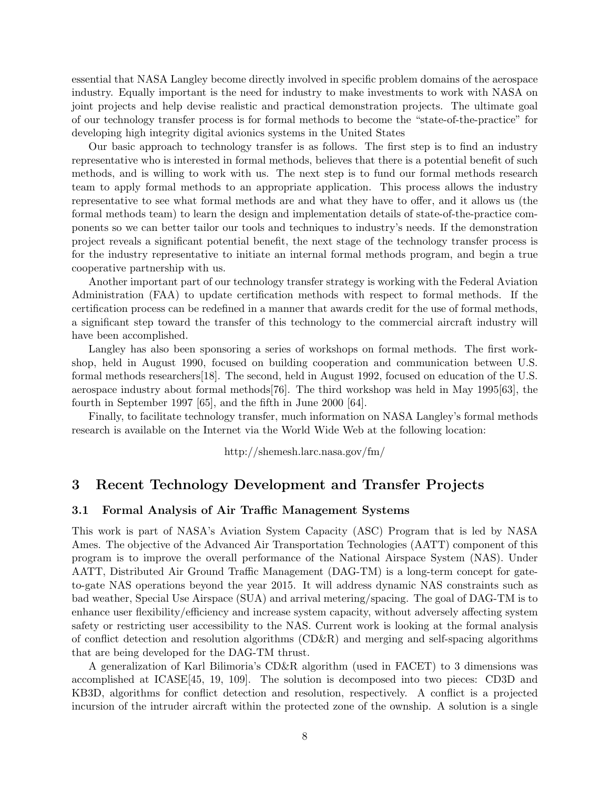essential that NASA Langley become directly involved in specific problem domains of the aerospace industry. Equally important is the need for industry to make investments to work with NASA on joint projects and help devise realistic and practical demonstration projects. The ultimate goal of our technology transfer process is for formal methods to become the "state-of-the-practice" for developing high integrity digital avionics systems in the United States

Our basic approach to technology transfer is as follows. The first step is to find an industry representative who is interested in formal methods, believes that there is a potential benefit of such methods, and is willing to work with us. The next step is to fund our formal methods research team to apply formal methods to an appropriate application. This process allows the industry representative to see what formal methods are and what they have to offer, and it allows us (the formal methods team) to learn the design and implementation details of state-of-the-practice components so we can better tailor our tools and techniques to industry's needs. If the demonstration project reveals a significant potential benefit, the next stage of the technology transfer process is for the industry representative to initiate an internal formal methods program, and begin a true cooperative partnership with us.

Another important part of our technology transfer strategy is working with the Federal Aviation Administration (FAA) to update certification methods with respect to formal methods. If the certification process can be redefined in a manner that awards credit for the use of formal methods, a significant step toward the transfer of this technology to the commercial aircraft industry will have been accomplished.

Langley has also been sponsoring a series of workshops on formal methods. The first workshop, held in August 1990, focused on building cooperation and communication between U.S. formal methods researchers[18]. The second, held in August 1992, focused on education of the U.S. aerospace industry about formal methods[76]. The third workshop was held in May 1995[63], the fourth in September 1997 [65], and the fifth in June 2000 [64].

Finally, to facilitate technology transfer, much information on NASA Langley's formal methods research is available on the Internet via the World Wide Web at the following location:

http://shemesh.larc.nasa.gov/fm/

# 3 Recent Technology Development and Transfer Projects

#### 3.1 Formal Analysis of Air Traffic Management Systems

This work is part of NASA's Aviation System Capacity (ASC) Program that is led by NASA Ames. The objective of the Advanced Air Transportation Technologies (AATT) component of this program is to improve the overall performance of the National Airspace System (NAS). Under AATT, Distributed Air Ground Traffic Management (DAG-TM) is a long-term concept for gateto-gate NAS operations beyond the year 2015. It will address dynamic NAS constraints such as bad weather, Special Use Airspace (SUA) and arrival metering/spacing. The goal of DAG-TM is to enhance user flexibility/efficiency and increase system capacity, without adversely affecting system safety or restricting user accessibility to the NAS. Current work is looking at the formal analysis of conflict detection and resolution algorithms (CD&R) and merging and self-spacing algorithms that are being developed for the DAG-TM thrust.

A generalization of Karl Bilimoria's CD&R algorithm (used in FACET) to 3 dimensions was accomplished at ICASE[45, 19, 109]. The solution is decomposed into two pieces: CD3D and KB3D, algorithms for conflict detection and resolution, respectively. A conflict is a projected incursion of the intruder aircraft within the protected zone of the ownship. A solution is a single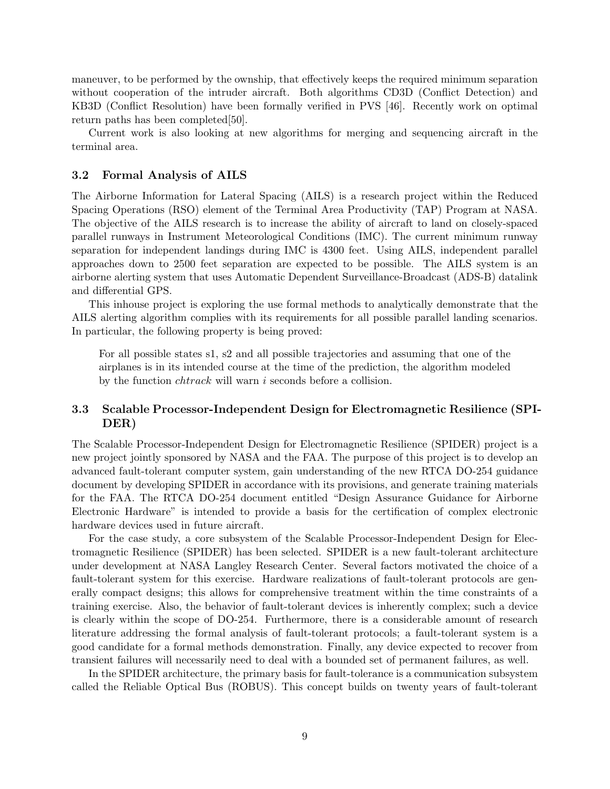maneuver, to be performed by the ownship, that effectively keeps the required minimum separation without cooperation of the intruder aircraft. Both algorithms CD3D (Conflict Detection) and KB3D (Conflict Resolution) have been formally verified in PVS [46]. Recently work on optimal return paths has been completed[50].

Current work is also looking at new algorithms for merging and sequencing aircraft in the terminal area.

### 3.2 Formal Analysis of AILS

The Airborne Information for Lateral Spacing (AILS) is a research project within the Reduced Spacing Operations (RSO) element of the Terminal Area Productivity (TAP) Program at NASA. The objective of the AILS research is to increase the ability of aircraft to land on closely-spaced parallel runways in Instrument Meteorological Conditions (IMC). The current minimum runway separation for independent landings during IMC is 4300 feet. Using AILS, independent parallel approaches down to 2500 feet separation are expected to be possible. The AILS system is an airborne alerting system that uses Automatic Dependent Surveillance-Broadcast (ADS-B) datalink and differential GPS.

This inhouse project is exploring the use formal methods to analytically demonstrate that the AILS alerting algorithm complies with its requirements for all possible parallel landing scenarios. In particular, the following property is being proved:

For all possible states s1, s2 and all possible trajectories and assuming that one of the airplanes is in its intended course at the time of the prediction, the algorithm modeled by the function *chtrack* will warn i seconds before a collision.

# 3.3 Scalable Processor-Independent Design for Electromagnetic Resilience (SPI-DER)

The Scalable Processor-Independent Design for Electromagnetic Resilience (SPIDER) project is a new project jointly sponsored by NASA and the FAA. The purpose of this project is to develop an advanced fault-tolerant computer system, gain understanding of the new RTCA DO-254 guidance document by developing SPIDER in accordance with its provisions, and generate training materials for the FAA. The RTCA DO-254 document entitled "Design Assurance Guidance for Airborne Electronic Hardware" is intended to provide a basis for the certification of complex electronic hardware devices used in future aircraft.

For the case study, a core subsystem of the Scalable Processor-Independent Design for Electromagnetic Resilience (SPIDER) has been selected. SPIDER is a new fault-tolerant architecture under development at NASA Langley Research Center. Several factors motivated the choice of a fault-tolerant system for this exercise. Hardware realizations of fault-tolerant protocols are generally compact designs; this allows for comprehensive treatment within the time constraints of a training exercise. Also, the behavior of fault-tolerant devices is inherently complex; such a device is clearly within the scope of DO-254. Furthermore, there is a considerable amount of research literature addressing the formal analysis of fault-tolerant protocols; a fault-tolerant system is a good candidate for a formal methods demonstration. Finally, any device expected to recover from transient failures will necessarily need to deal with a bounded set of permanent failures, as well.

In the SPIDER architecture, the primary basis for fault-tolerance is a communication subsystem called the Reliable Optical Bus (ROBUS). This concept builds on twenty years of fault-tolerant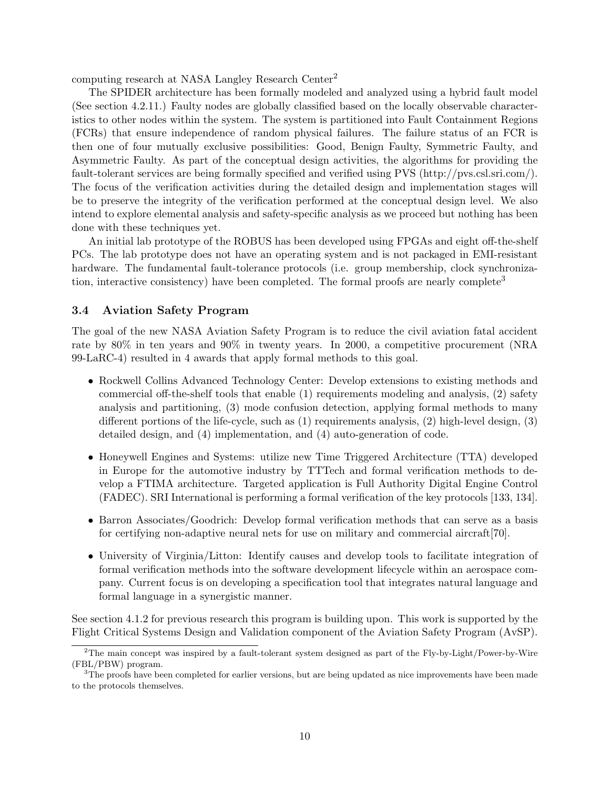computing research at NASA Langley Research Center<sup>2</sup>

The SPIDER architecture has been formally modeled and analyzed using a hybrid fault model (See section 4.2.11.) Faulty nodes are globally classified based on the locally observable characteristics to other nodes within the system. The system is partitioned into Fault Containment Regions (FCRs) that ensure independence of random physical failures. The failure status of an FCR is then one of four mutually exclusive possibilities: Good, Benign Faulty, Symmetric Faulty, and Asymmetric Faulty. As part of the conceptual design activities, the algorithms for providing the fault-tolerant services are being formally specified and verified using PVS (http://pvs.csl.sri.com/). The focus of the verification activities during the detailed design and implementation stages will be to preserve the integrity of the verification performed at the conceptual design level. We also intend to explore elemental analysis and safety-specific analysis as we proceed but nothing has been done with these techniques yet.

An initial lab prototype of the ROBUS has been developed using FPGAs and eight off-the-shelf PCs. The lab prototype does not have an operating system and is not packaged in EMI-resistant hardware. The fundamental fault-tolerance protocols (i.e. group membership, clock synchronization, interactive consistency) have been completed. The formal proofs are nearly complete<sup>3</sup>

## 3.4 Aviation Safety Program

The goal of the new NASA Aviation Safety Program is to reduce the civil aviation fatal accident rate by 80% in ten years and 90% in twenty years. In 2000, a competitive procurement (NRA 99-LaRC-4) resulted in 4 awards that apply formal methods to this goal.

- Rockwell Collins Advanced Technology Center: Develop extensions to existing methods and commercial off-the-shelf tools that enable (1) requirements modeling and analysis, (2) safety analysis and partitioning, (3) mode confusion detection, applying formal methods to many different portions of the life-cycle, such as (1) requirements analysis, (2) high-level design, (3) detailed design, and (4) implementation, and (4) auto-generation of code.
- Honeywell Engines and Systems: utilize new Time Triggered Architecture (TTA) developed in Europe for the automotive industry by TTTech and formal verification methods to develop a FTIMA architecture. Targeted application is Full Authority Digital Engine Control (FADEC). SRI International is performing a formal verification of the key protocols [133, 134].
- Barron Associates/Goodrich: Develop formal verification methods that can serve as a basis for certifying non-adaptive neural nets for use on military and commercial aircraft[70].
- University of Virginia/Litton: Identify causes and develop tools to facilitate integration of formal verification methods into the software development lifecycle within an aerospace company. Current focus is on developing a specification tool that integrates natural language and formal language in a synergistic manner.

See section 4.1.2 for previous research this program is building upon. This work is supported by the Flight Critical Systems Design and Validation component of the Aviation Safety Program (AvSP).

<sup>2</sup>The main concept was inspired by a fault-tolerant system designed as part of the Fly-by-Light/Power-by-Wire (FBL/PBW) program.

<sup>&</sup>lt;sup>3</sup>The proofs have been completed for earlier versions, but are being updated as nice improvements have been made to the protocols themselves.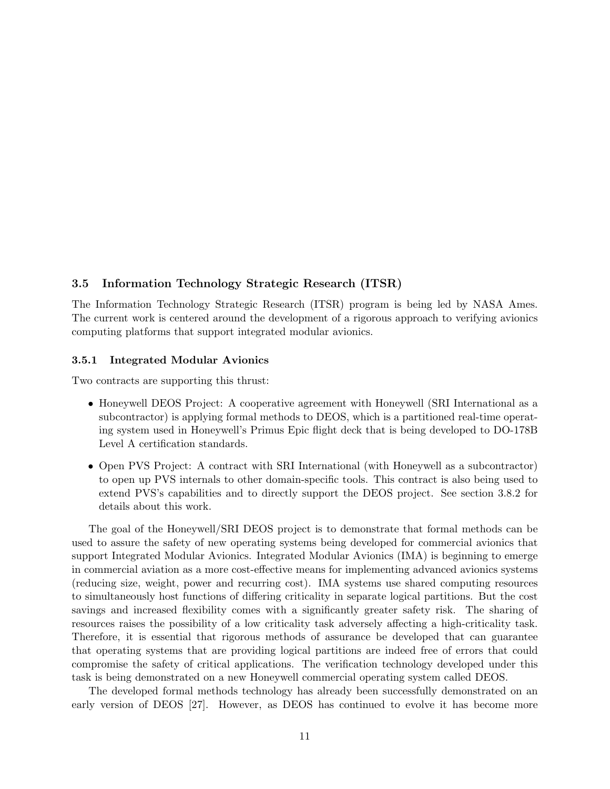# 3.5 Information Technology Strategic Research (ITSR)

The Information Technology Strategic Research (ITSR) program is being led by NASA Ames. The current work is centered around the development of a rigorous approach to verifying avionics computing platforms that support integrated modular avionics.

### 3.5.1 Integrated Modular Avionics

Two contracts are supporting this thrust:

- Honeywell DEOS Project: A cooperative agreement with Honeywell (SRI International as a subcontractor) is applying formal methods to DEOS, which is a partitioned real-time operating system used in Honeywell's Primus Epic flight deck that is being developed to DO-178B Level A certification standards.
- Open PVS Project: A contract with SRI International (with Honeywell as a subcontractor) to open up PVS internals to other domain-specific tools. This contract is also being used to extend PVS's capabilities and to directly support the DEOS project. See section 3.8.2 for details about this work.

The goal of the Honeywell/SRI DEOS project is to demonstrate that formal methods can be used to assure the safety of new operating systems being developed for commercial avionics that support Integrated Modular Avionics. Integrated Modular Avionics (IMA) is beginning to emerge in commercial aviation as a more cost-effective means for implementing advanced avionics systems (reducing size, weight, power and recurring cost). IMA systems use shared computing resources to simultaneously host functions of differing criticality in separate logical partitions. But the cost savings and increased flexibility comes with a significantly greater safety risk. The sharing of resources raises the possibility of a low criticality task adversely affecting a high-criticality task. Therefore, it is essential that rigorous methods of assurance be developed that can guarantee that operating systems that are providing logical partitions are indeed free of errors that could compromise the safety of critical applications. The verification technology developed under this task is being demonstrated on a new Honeywell commercial operating system called DEOS.

The developed formal methods technology has already been successfully demonstrated on an early version of DEOS [27]. However, as DEOS has continued to evolve it has become more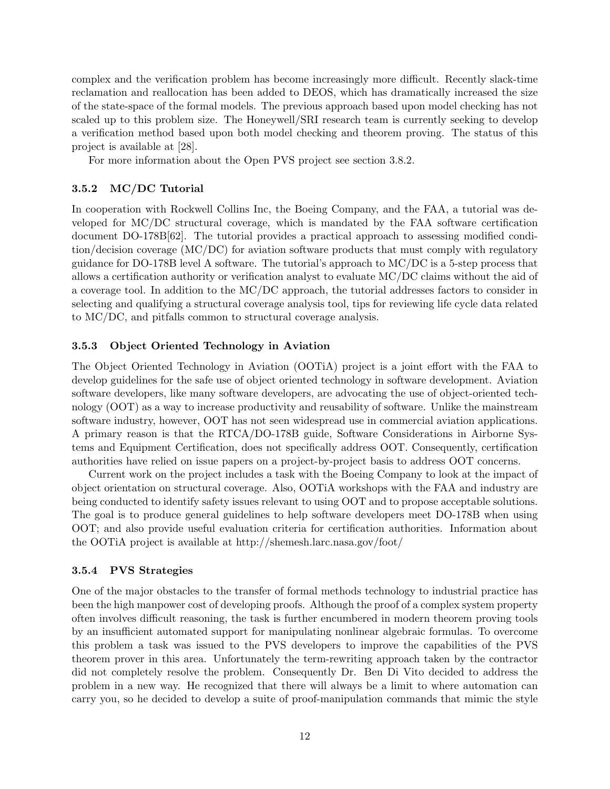complex and the verification problem has become increasingly more difficult. Recently slack-time reclamation and reallocation has been added to DEOS, which has dramatically increased the size of the state-space of the formal models. The previous approach based upon model checking has not scaled up to this problem size. The Honeywell/SRI research team is currently seeking to develop a verification method based upon both model checking and theorem proving. The status of this project is available at [28].

For more information about the Open PVS project see section 3.8.2.

## 3.5.2 MC/DC Tutorial

In cooperation with Rockwell Collins Inc, the Boeing Company, and the FAA, a tutorial was developed for MC/DC structural coverage, which is mandated by the FAA software certification document DO-178B[62]. The tutorial provides a practical approach to assessing modified condition/decision coverage (MC/DC) for aviation software products that must comply with regulatory guidance for DO-178B level A software. The tutorial's approach to MC/DC is a 5-step process that allows a certification authority or verification analyst to evaluate MC/DC claims without the aid of a coverage tool. In addition to the MC/DC approach, the tutorial addresses factors to consider in selecting and qualifying a structural coverage analysis tool, tips for reviewing life cycle data related to MC/DC, and pitfalls common to structural coverage analysis.

#### 3.5.3 Object Oriented Technology in Aviation

The Object Oriented Technology in Aviation (OOTiA) project is a joint effort with the FAA to develop guidelines for the safe use of object oriented technology in software development. Aviation software developers, like many software developers, are advocating the use of object-oriented technology (OOT) as a way to increase productivity and reusability of software. Unlike the mainstream software industry, however, OOT has not seen widespread use in commercial aviation applications. A primary reason is that the RTCA/DO-178B guide, Software Considerations in Airborne Systems and Equipment Certification, does not specifically address OOT. Consequently, certification authorities have relied on issue papers on a project-by-project basis to address OOT concerns.

Current work on the project includes a task with the Boeing Company to look at the impact of object orientation on structural coverage. Also, OOTiA workshops with the FAA and industry are being conducted to identify safety issues relevant to using OOT and to propose acceptable solutions. The goal is to produce general guidelines to help software developers meet DO-178B when using OOT; and also provide useful evaluation criteria for certification authorities. Information about the OOTiA project is available at http://shemesh.larc.nasa.gov/foot/

#### 3.5.4 PVS Strategies

One of the major obstacles to the transfer of formal methods technology to industrial practice has been the high manpower cost of developing proofs. Although the proof of a complex system property often involves difficult reasoning, the task is further encumbered in modern theorem proving tools by an insufficient automated support for manipulating nonlinear algebraic formulas. To overcome this problem a task was issued to the PVS developers to improve the capabilities of the PVS theorem prover in this area. Unfortunately the term-rewriting approach taken by the contractor did not completely resolve the problem. Consequently Dr. Ben Di Vito decided to address the problem in a new way. He recognized that there will always be a limit to where automation can carry you, so he decided to develop a suite of proof-manipulation commands that mimic the style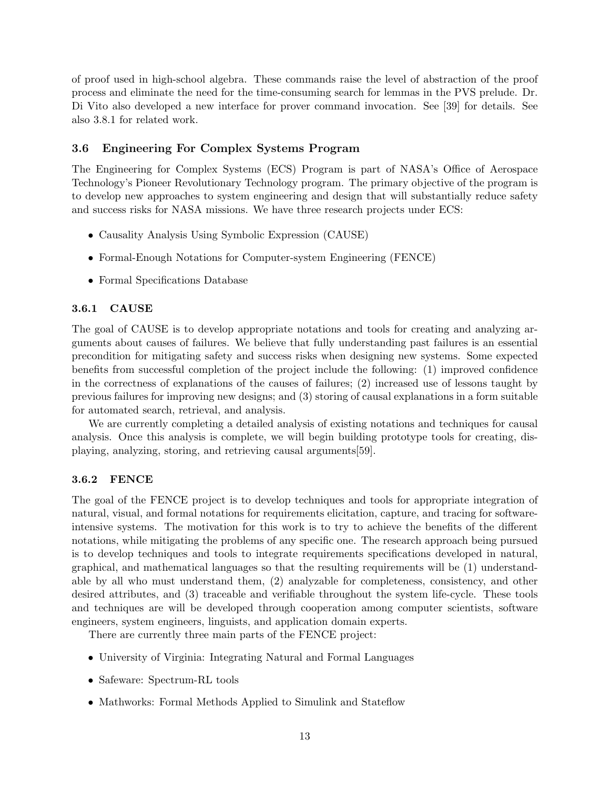of proof used in high-school algebra. These commands raise the level of abstraction of the proof process and eliminate the need for the time-consuming search for lemmas in the PVS prelude. Dr. Di Vito also developed a new interface for prover command invocation. See [39] for details. See also 3.8.1 for related work.

## 3.6 Engineering For Complex Systems Program

The Engineering for Complex Systems (ECS) Program is part of NASA's Office of Aerospace Technology's Pioneer Revolutionary Technology program. The primary objective of the program is to develop new approaches to system engineering and design that will substantially reduce safety and success risks for NASA missions. We have three research projects under ECS:

- Causality Analysis Using Symbolic Expression (CAUSE)
- Formal-Enough Notations for Computer-system Engineering (FENCE)
- Formal Specifications Database

#### 3.6.1 CAUSE

The goal of CAUSE is to develop appropriate notations and tools for creating and analyzing arguments about causes of failures. We believe that fully understanding past failures is an essential precondition for mitigating safety and success risks when designing new systems. Some expected benefits from successful completion of the project include the following: (1) improved confidence in the correctness of explanations of the causes of failures; (2) increased use of lessons taught by previous failures for improving new designs; and (3) storing of causal explanations in a form suitable for automated search, retrieval, and analysis.

We are currently completing a detailed analysis of existing notations and techniques for causal analysis. Once this analysis is complete, we will begin building prototype tools for creating, displaying, analyzing, storing, and retrieving causal arguments[59].

## 3.6.2 FENCE

The goal of the FENCE project is to develop techniques and tools for appropriate integration of natural, visual, and formal notations for requirements elicitation, capture, and tracing for softwareintensive systems. The motivation for this work is to try to achieve the benefits of the different notations, while mitigating the problems of any specific one. The research approach being pursued is to develop techniques and tools to integrate requirements specifications developed in natural, graphical, and mathematical languages so that the resulting requirements will be (1) understandable by all who must understand them, (2) analyzable for completeness, consistency, and other desired attributes, and (3) traceable and verifiable throughout the system life-cycle. These tools and techniques are will be developed through cooperation among computer scientists, software engineers, system engineers, linguists, and application domain experts.

There are currently three main parts of the FENCE project:

- University of Virginia: Integrating Natural and Formal Languages
- Safeware: Spectrum-RL tools
- Mathworks: Formal Methods Applied to Simulink and Stateflow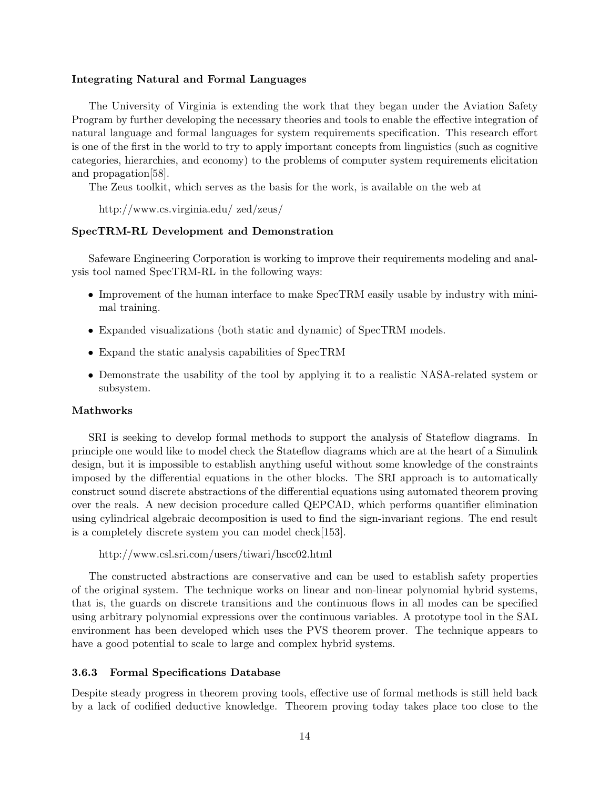#### Integrating Natural and Formal Languages

The University of Virginia is extending the work that they began under the Aviation Safety Program by further developing the necessary theories and tools to enable the effective integration of natural language and formal languages for system requirements specification. This research effort is one of the first in the world to try to apply important concepts from linguistics (such as cognitive categories, hierarchies, and economy) to the problems of computer system requirements elicitation and propagation[58].

The Zeus toolkit, which serves as the basis for the work, is available on the web at

http://www.cs.virginia.edu/ zed/zeus/

### SpecTRM-RL Development and Demonstration

Safeware Engineering Corporation is working to improve their requirements modeling and analysis tool named SpecTRM-RL in the following ways:

- Improvement of the human interface to make SpecTRM easily usable by industry with minimal training.
- Expanded visualizations (both static and dynamic) of SpecTRM models.
- Expand the static analysis capabilities of SpecTRM
- Demonstrate the usability of the tool by applying it to a realistic NASA-related system or subsystem.

#### Mathworks

SRI is seeking to develop formal methods to support the analysis of Stateflow diagrams. In principle one would like to model check the Stateflow diagrams which are at the heart of a Simulink design, but it is impossible to establish anything useful without some knowledge of the constraints imposed by the differential equations in the other blocks. The SRI approach is to automatically construct sound discrete abstractions of the differential equations using automated theorem proving over the reals. A new decision procedure called QEPCAD, which performs quantifier elimination using cylindrical algebraic decomposition is used to find the sign-invariant regions. The end result is a completely discrete system you can model check[153].

```
http://www.csl.sri.com/users/tiwari/hscc02.html
```
The constructed abstractions are conservative and can be used to establish safety properties of the original system. The technique works on linear and non-linear polynomial hybrid systems, that is, the guards on discrete transitions and the continuous flows in all modes can be specified using arbitrary polynomial expressions over the continuous variables. A prototype tool in the SAL environment has been developed which uses the PVS theorem prover. The technique appears to have a good potential to scale to large and complex hybrid systems.

#### 3.6.3 Formal Specifications Database

Despite steady progress in theorem proving tools, effective use of formal methods is still held back by a lack of codified deductive knowledge. Theorem proving today takes place too close to the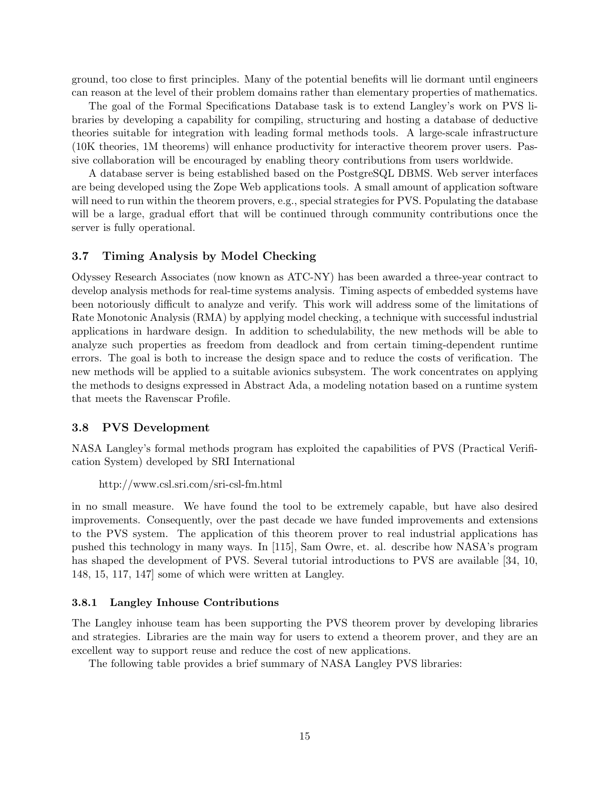ground, too close to first principles. Many of the potential benefits will lie dormant until engineers can reason at the level of their problem domains rather than elementary properties of mathematics.

The goal of the Formal Specifications Database task is to extend Langley's work on PVS libraries by developing a capability for compiling, structuring and hosting a database of deductive theories suitable for integration with leading formal methods tools. A large-scale infrastructure (10K theories, 1M theorems) will enhance productivity for interactive theorem prover users. Passive collaboration will be encouraged by enabling theory contributions from users worldwide.

A database server is being established based on the PostgreSQL DBMS. Web server interfaces are being developed using the Zope Web applications tools. A small amount of application software will need to run within the theorem provers, e.g., special strategies for PVS. Populating the database will be a large, gradual effort that will be continued through community contributions once the server is fully operational.

#### 3.7 Timing Analysis by Model Checking

Odyssey Research Associates (now known as ATC-NY) has been awarded a three-year contract to develop analysis methods for real-time systems analysis. Timing aspects of embedded systems have been notoriously difficult to analyze and verify. This work will address some of the limitations of Rate Monotonic Analysis (RMA) by applying model checking, a technique with successful industrial applications in hardware design. In addition to schedulability, the new methods will be able to analyze such properties as freedom from deadlock and from certain timing-dependent runtime errors. The goal is both to increase the design space and to reduce the costs of verification. The new methods will be applied to a suitable avionics subsystem. The work concentrates on applying the methods to designs expressed in Abstract Ada, a modeling notation based on a runtime system that meets the Ravenscar Profile.

#### 3.8 PVS Development

NASA Langley's formal methods program has exploited the capabilities of PVS (Practical Verification System) developed by SRI International

```
http://www.csl.sri.com/sri-csl-fm.html
```
in no small measure. We have found the tool to be extremely capable, but have also desired improvements. Consequently, over the past decade we have funded improvements and extensions to the PVS system. The application of this theorem prover to real industrial applications has pushed this technology in many ways. In [115], Sam Owre, et. al. describe how NASA's program has shaped the development of PVS. Several tutorial introductions to PVS are available [34, 10, 148, 15, 117, 147] some of which were written at Langley.

#### 3.8.1 Langley Inhouse Contributions

The Langley inhouse team has been supporting the PVS theorem prover by developing libraries and strategies. Libraries are the main way for users to extend a theorem prover, and they are an excellent way to support reuse and reduce the cost of new applications.

The following table provides a brief summary of NASA Langley PVS libraries: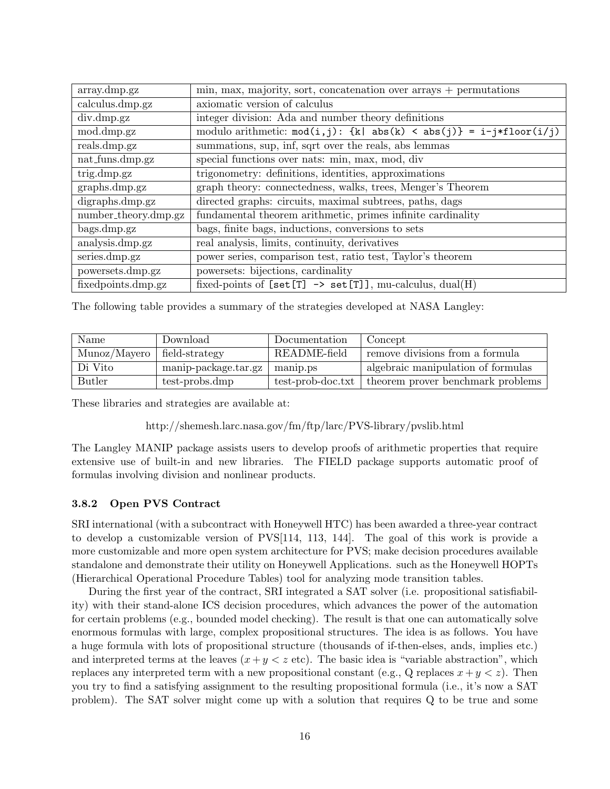| $\min$ , max, majority, sort, concatenation over arrays + permutations              |  |  |  |
|-------------------------------------------------------------------------------------|--|--|--|
| axiomatic version of calculus                                                       |  |  |  |
| integer division: Ada and number theory definitions                                 |  |  |  |
| modulo arithmetic: $mod(i, j)$ : {k  abs(k) < abs(j)} = i-j*floor(i/j)              |  |  |  |
| summations, sup, inf, sqrt over the reals, abs lemmas                               |  |  |  |
| special functions over nats: min, max, mod, div                                     |  |  |  |
| trigonometry: definitions, identities, approximations                               |  |  |  |
| graph theory: connectedness, walks, trees, Menger's Theorem                         |  |  |  |
| directed graphs: circuits, maximal subtrees, paths, dags                            |  |  |  |
| fundamental theorem arithmetic, primes infinite cardinality<br>number_theory.dmp.gz |  |  |  |
| bags, finite bags, inductions, conversions to sets                                  |  |  |  |
| real analysis, limits, continuity, derivatives                                      |  |  |  |
| power series, comparison test, ratio test, Taylor's theorem                         |  |  |  |
| powersets: bijections, cardinality                                                  |  |  |  |
| fixed-points of $[set[T] \rightarrow set[T]$ , mu-calculus, dual(H)                 |  |  |  |
|                                                                                     |  |  |  |

The following table provides a summary of the strategies developed at NASA Langley:

| Name          | Download             | Documentation     | Concept                            |
|---------------|----------------------|-------------------|------------------------------------|
| Munoz/Mayero  | field-strategy       | README-field      | remove divisions from a formula    |
| Di Vito       | manip-package.tar.gz | manip.ps          | algebraic manipulation of formulas |
| <b>Butler</b> | test-probs.dmp       | test-prob-doc.txt | theorem prover benchmark problems  |

These libraries and strategies are available at:

http://shemesh.larc.nasa.gov/fm/ftp/larc/PVS-library/pvslib.html

The Langley MANIP package assists users to develop proofs of arithmetic properties that require extensive use of built-in and new libraries. The FIELD package supports automatic proof of formulas involving division and nonlinear products.

## 3.8.2 Open PVS Contract

SRI international (with a subcontract with Honeywell HTC) has been awarded a three-year contract to develop a customizable version of PVS[114, 113, 144]. The goal of this work is provide a more customizable and more open system architecture for PVS; make decision procedures available standalone and demonstrate their utility on Honeywell Applications. such as the Honeywell HOPTs (Hierarchical Operational Procedure Tables) tool for analyzing mode transition tables.

During the first year of the contract, SRI integrated a SAT solver (i.e. propositional satisfiability) with their stand-alone ICS decision procedures, which advances the power of the automation for certain problems (e.g., bounded model checking). The result is that one can automatically solve enormous formulas with large, complex propositional structures. The idea is as follows. You have a huge formula with lots of propositional structure (thousands of if-then-elses, ands, implies etc.) and interpreted terms at the leaves  $(x + y < z \text{ etc}).$  The basic idea is "variable abstraction", which replaces any interpreted term with a new propositional constant (e.g., Q replaces  $x + y < z$ ). Then you try to find a satisfying assignment to the resulting propositional formula (i.e., it's now a SAT problem). The SAT solver might come up with a solution that requires Q to be true and some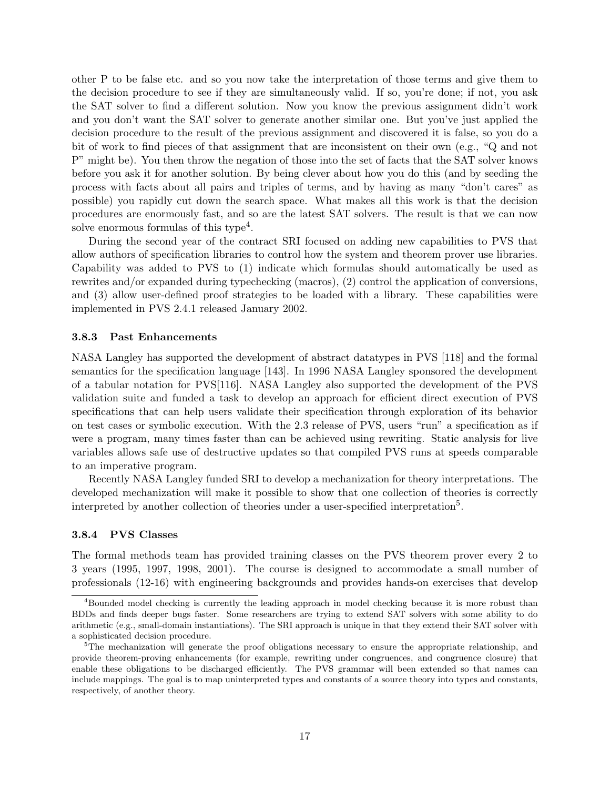other P to be false etc. and so you now take the interpretation of those terms and give them to the decision procedure to see if they are simultaneously valid. If so, you're done; if not, you ask the SAT solver to find a different solution. Now you know the previous assignment didn't work and you don't want the SAT solver to generate another similar one. But you've just applied the decision procedure to the result of the previous assignment and discovered it is false, so you do a bit of work to find pieces of that assignment that are inconsistent on their own (e.g., "Q and not P" might be). You then throw the negation of those into the set of facts that the SAT solver knows before you ask it for another solution. By being clever about how you do this (and by seeding the process with facts about all pairs and triples of terms, and by having as many "don't cares" as possible) you rapidly cut down the search space. What makes all this work is that the decision procedures are enormously fast, and so are the latest SAT solvers. The result is that we can now solve enormous formulas of this type<sup>4</sup>.

During the second year of the contract SRI focused on adding new capabilities to PVS that allow authors of specification libraries to control how the system and theorem prover use libraries. Capability was added to PVS to (1) indicate which formulas should automatically be used as rewrites and/or expanded during typechecking (macros), (2) control the application of conversions, and (3) allow user-defined proof strategies to be loaded with a library. These capabilities were implemented in PVS 2.4.1 released January 2002.

#### 3.8.3 Past Enhancements

NASA Langley has supported the development of abstract datatypes in PVS [118] and the formal semantics for the specification language [143]. In 1996 NASA Langley sponsored the development of a tabular notation for PVS[116]. NASA Langley also supported the development of the PVS validation suite and funded a task to develop an approach for efficient direct execution of PVS specifications that can help users validate their specification through exploration of its behavior on test cases or symbolic execution. With the 2.3 release of PVS, users "run" a specification as if were a program, many times faster than can be achieved using rewriting. Static analysis for live variables allows safe use of destructive updates so that compiled PVS runs at speeds comparable to an imperative program.

Recently NASA Langley funded SRI to develop a mechanization for theory interpretations. The developed mechanization will make it possible to show that one collection of theories is correctly interpreted by another collection of theories under a user-specified interpretation<sup>5</sup>.

#### 3.8.4 PVS Classes

The formal methods team has provided training classes on the PVS theorem prover every 2 to 3 years (1995, 1997, 1998, 2001). The course is designed to accommodate a small number of professionals (12-16) with engineering backgrounds and provides hands-on exercises that develop

<sup>&</sup>lt;sup>4</sup>Bounded model checking is currently the leading approach in model checking because it is more robust than BDDs and finds deeper bugs faster. Some researchers are trying to extend SAT solvers with some ability to do arithmetic (e.g., small-domain instantiations). The SRI approach is unique in that they extend their SAT solver with a sophisticated decision procedure.

<sup>&</sup>lt;sup>5</sup>The mechanization will generate the proof obligations necessary to ensure the appropriate relationship, and provide theorem-proving enhancements (for example, rewriting under congruences, and congruence closure) that enable these obligations to be discharged efficiently. The PVS grammar will been extended so that names can include mappings. The goal is to map uninterpreted types and constants of a source theory into types and constants, respectively, of another theory.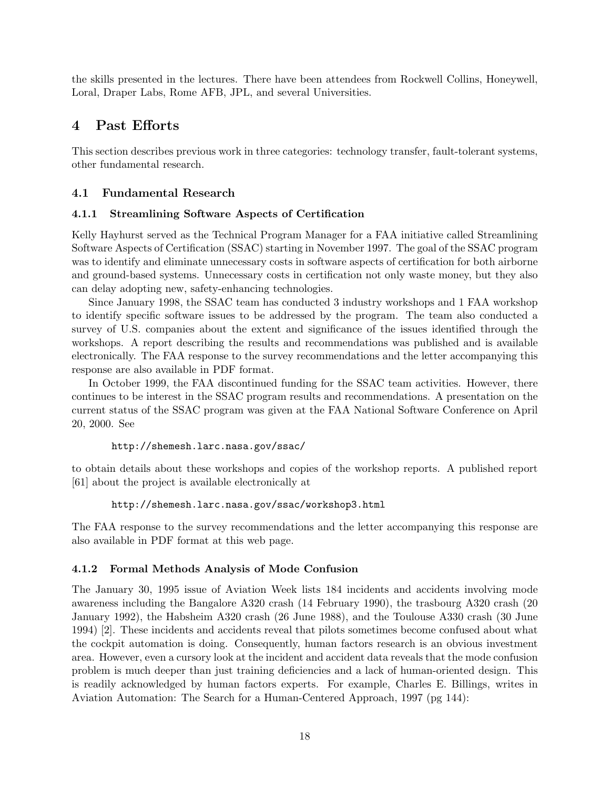the skills presented in the lectures. There have been attendees from Rockwell Collins, Honeywell, Loral, Draper Labs, Rome AFB, JPL, and several Universities.

# 4 Past Efforts

This section describes previous work in three categories: technology transfer, fault-tolerant systems, other fundamental research.

# 4.1 Fundamental Research

## 4.1.1 Streamlining Software Aspects of Certification

Kelly Hayhurst served as the Technical Program Manager for a FAA initiative called Streamlining Software Aspects of Certification (SSAC) starting in November 1997. The goal of the SSAC program was to identify and eliminate unnecessary costs in software aspects of certification for both airborne and ground-based systems. Unnecessary costs in certification not only waste money, but they also can delay adopting new, safety-enhancing technologies.

Since January 1998, the SSAC team has conducted 3 industry workshops and 1 FAA workshop to identify specific software issues to be addressed by the program. The team also conducted a survey of U.S. companies about the extent and significance of the issues identified through the workshops. A report describing the results and recommendations was published and is available electronically. The FAA response to the survey recommendations and the letter accompanying this response are also available in PDF format.

In October 1999, the FAA discontinued funding for the SSAC team activities. However, there continues to be interest in the SSAC program results and recommendations. A presentation on the current status of the SSAC program was given at the FAA National Software Conference on April 20, 2000. See

#### http://shemesh.larc.nasa.gov/ssac/

to obtain details about these workshops and copies of the workshop reports. A published report [61] about the project is available electronically at

http://shemesh.larc.nasa.gov/ssac/workshop3.html

The FAA response to the survey recommendations and the letter accompanying this response are also available in PDF format at this web page.

## 4.1.2 Formal Methods Analysis of Mode Confusion

The January 30, 1995 issue of Aviation Week lists 184 incidents and accidents involving mode awareness including the Bangalore A320 crash (14 February 1990), the trasbourg A320 crash (20 January 1992), the Habsheim A320 crash (26 June 1988), and the Toulouse A330 crash (30 June 1994) [2]. These incidents and accidents reveal that pilots sometimes become confused about what the cockpit automation is doing. Consequently, human factors research is an obvious investment area. However, even a cursory look at the incident and accident data reveals that the mode confusion problem is much deeper than just training deficiencies and a lack of human-oriented design. This is readily acknowledged by human factors experts. For example, Charles E. Billings, writes in Aviation Automation: The Search for a Human-Centered Approach, 1997 (pg 144):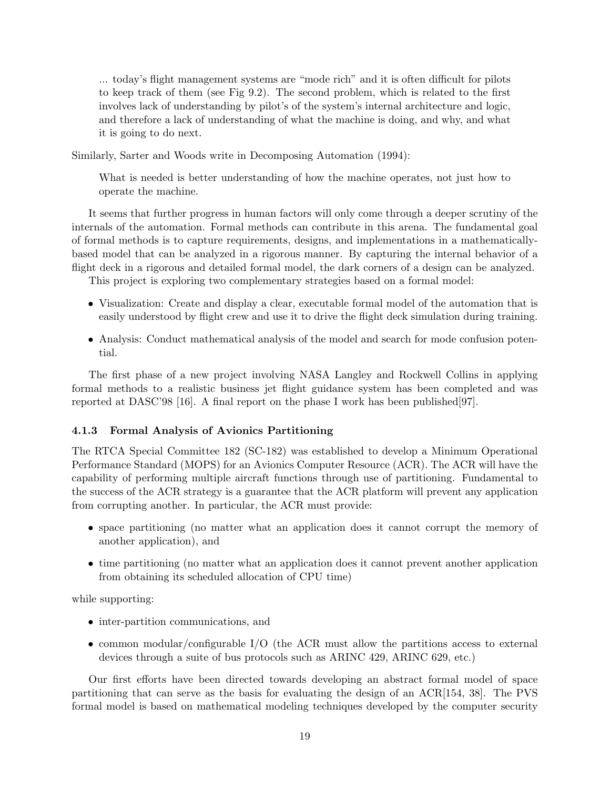... today's flight management systems are "mode rich" and it is often difficult for pilots to keep track of them (see Fig 9.2). The second problem, which is related to the first involves lack of understanding by pilot's of the system's internal architecture and logic, and therefore a lack of understanding of what the machine is doing, and why, and what it is going to do next.

Similarly, Sarter and Woods write in Decomposing Automation (1994):

What is needed is better understanding of how the machine operates, not just how to operate the machine.

It seems that further progress in human factors will only come through a deeper scrutiny of the internals of the automation. Formal methods can contribute in this arena. The fundamental goal of formal methods is to capture requirements, designs, and implementations in a mathematicallybased model that can be analyzed in a rigorous manner. By capturing the internal behavior of a flight deck in a rigorous and detailed formal model, the dark corners of a design can be analyzed.

This project is exploring two complementary strategies based on a formal model:

- Visualization: Create and display a clear, executable formal model of the automation that is easily understood by flight crew and use it to drive the flight deck simulation during training.
- Analysis: Conduct mathematical analysis of the model and search for mode confusion potential.

The first phase of a new project involving NASA Langley and Rockwell Collins in applying formal methods to a realistic business jet flight guidance system has been completed and was reported at DASC'98 [16]. A final report on the phase I work has been published[97].

#### 4.1.3 Formal Analysis of Avionics Partitioning

The RTCA Special Committee 182 (SC-182) was established to develop a Minimum Operational Performance Standard (MOPS) for an Avionics Computer Resource (ACR). The ACR will have the capability of performing multiple aircraft functions through use of partitioning. Fundamental to the success of the ACR strategy is a guarantee that the ACR platform will prevent any application from corrupting another. In particular, the ACR must provide:

- space partitioning (no matter what an application does it cannot corrupt the memory of another application), and
- time partitioning (no matter what an application does it cannot prevent another application from obtaining its scheduled allocation of CPU time)

while supporting:

- inter-partition communications, and
- common modular/configurable I/O (the ACR must allow the partitions access to external devices through a suite of bus protocols such as ARINC 429, ARINC 629, etc.)

Our first efforts have been directed towards developing an abstract formal model of space partitioning that can serve as the basis for evaluating the design of an ACR[154, 38]. The PVS formal model is based on mathematical modeling techniques developed by the computer security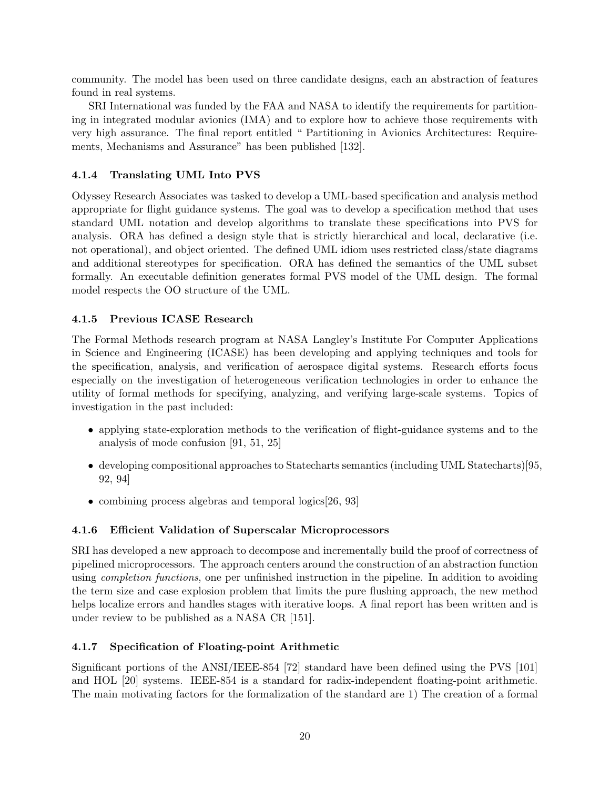community. The model has been used on three candidate designs, each an abstraction of features found in real systems.

SRI International was funded by the FAA and NASA to identify the requirements for partitioning in integrated modular avionics (IMA) and to explore how to achieve those requirements with very high assurance. The final report entitled " Partitioning in Avionics Architectures: Requirements, Mechanisms and Assurance" has been published [132].

# 4.1.4 Translating UML Into PVS

Odyssey Research Associates was tasked to develop a UML-based specification and analysis method appropriate for flight guidance systems. The goal was to develop a specification method that uses standard UML notation and develop algorithms to translate these specifications into PVS for analysis. ORA has defined a design style that is strictly hierarchical and local, declarative (i.e. not operational), and object oriented. The defined UML idiom uses restricted class/state diagrams and additional stereotypes for specification. ORA has defined the semantics of the UML subset formally. An executable definition generates formal PVS model of the UML design. The formal model respects the OO structure of the UML.

# 4.1.5 Previous ICASE Research

The Formal Methods research program at NASA Langley's Institute For Computer Applications in Science and Engineering (ICASE) has been developing and applying techniques and tools for the specification, analysis, and verification of aerospace digital systems. Research efforts focus especially on the investigation of heterogeneous verification technologies in order to enhance the utility of formal methods for specifying, analyzing, and verifying large-scale systems. Topics of investigation in the past included:

- applying state-exploration methods to the verification of flight-guidance systems and to the analysis of mode confusion [91, 51, 25]
- developing compositional approaches to Statecharts semantics (including UML Statecharts)[95, 92, 94]
- combining process algebras and temporal logics [26, 93]

# 4.1.6 Efficient Validation of Superscalar Microprocessors

SRI has developed a new approach to decompose and incrementally build the proof of correctness of pipelined microprocessors. The approach centers around the construction of an abstraction function using *completion functions*, one per unfinished instruction in the pipeline. In addition to avoiding the term size and case explosion problem that limits the pure flushing approach, the new method helps localize errors and handles stages with iterative loops. A final report has been written and is under review to be published as a NASA CR [151].

# 4.1.7 Specification of Floating-point Arithmetic

Significant portions of the ANSI/IEEE-854 [72] standard have been defined using the PVS [101] and HOL [20] systems. IEEE-854 is a standard for radix-independent floating-point arithmetic. The main motivating factors for the formalization of the standard are 1) The creation of a formal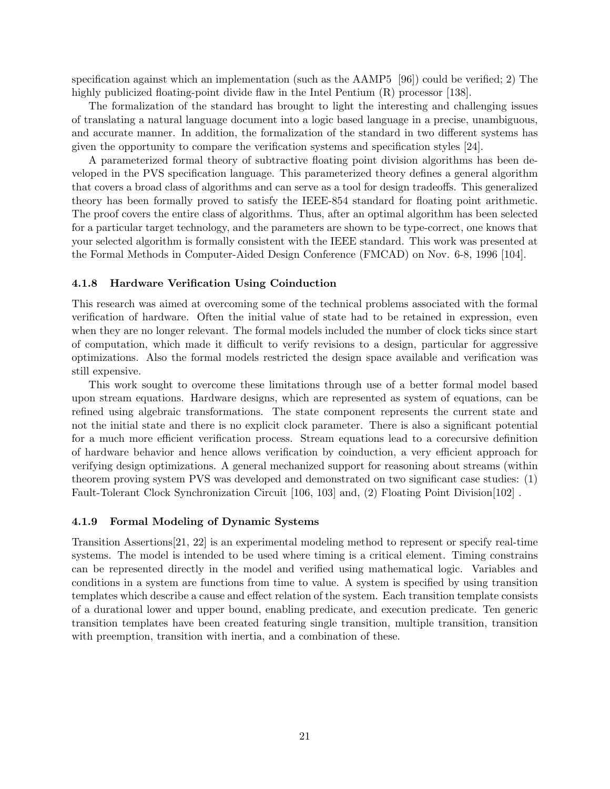specification against which an implementation (such as the AAMP5 [96]) could be verified; 2) The highly publicized floating-point divide flaw in the Intel Pentium (R) processor [138].

The formalization of the standard has brought to light the interesting and challenging issues of translating a natural language document into a logic based language in a precise, unambiguous, and accurate manner. In addition, the formalization of the standard in two different systems has given the opportunity to compare the verification systems and specification styles [24].

A parameterized formal theory of subtractive floating point division algorithms has been developed in the PVS specification language. This parameterized theory defines a general algorithm that covers a broad class of algorithms and can serve as a tool for design tradeoffs. This generalized theory has been formally proved to satisfy the IEEE-854 standard for floating point arithmetic. The proof covers the entire class of algorithms. Thus, after an optimal algorithm has been selected for a particular target technology, and the parameters are shown to be type-correct, one knows that your selected algorithm is formally consistent with the IEEE standard. This work was presented at the Formal Methods in Computer-Aided Design Conference (FMCAD) on Nov. 6-8, 1996 [104].

#### 4.1.8 Hardware Verification Using Coinduction

This research was aimed at overcoming some of the technical problems associated with the formal verification of hardware. Often the initial value of state had to be retained in expression, even when they are no longer relevant. The formal models included the number of clock ticks since start of computation, which made it difficult to verify revisions to a design, particular for aggressive optimizations. Also the formal models restricted the design space available and verification was still expensive.

This work sought to overcome these limitations through use of a better formal model based upon stream equations. Hardware designs, which are represented as system of equations, can be refined using algebraic transformations. The state component represents the current state and not the initial state and there is no explicit clock parameter. There is also a significant potential for a much more efficient verification process. Stream equations lead to a corecursive definition of hardware behavior and hence allows verification by coinduction, a very efficient approach for verifying design optimizations. A general mechanized support for reasoning about streams (within theorem proving system PVS was developed and demonstrated on two significant case studies: (1) Fault-Tolerant Clock Synchronization Circuit [106, 103] and, (2) Floating Point Division[102].

#### 4.1.9 Formal Modeling of Dynamic Systems

Transition Assertions[21, 22] is an experimental modeling method to represent or specify real-time systems. The model is intended to be used where timing is a critical element. Timing constrains can be represented directly in the model and verified using mathematical logic. Variables and conditions in a system are functions from time to value. A system is specified by using transition templates which describe a cause and effect relation of the system. Each transition template consists of a durational lower and upper bound, enabling predicate, and execution predicate. Ten generic transition templates have been created featuring single transition, multiple transition, transition with preemption, transition with inertia, and a combination of these.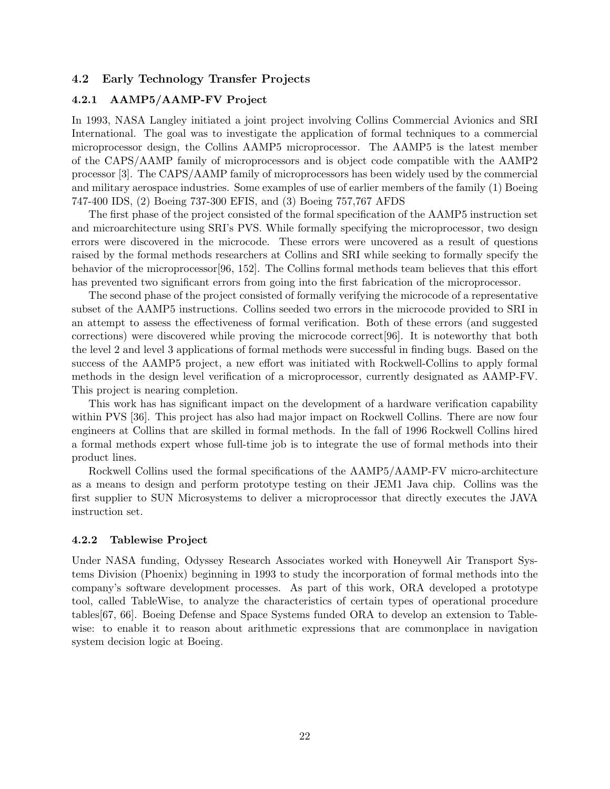## 4.2 Early Technology Transfer Projects

#### 4.2.1 AAMP5/AAMP-FV Project

In 1993, NASA Langley initiated a joint project involving Collins Commercial Avionics and SRI International. The goal was to investigate the application of formal techniques to a commercial microprocessor design, the Collins AAMP5 microprocessor. The AAMP5 is the latest member of the CAPS/AAMP family of microprocessors and is object code compatible with the AAMP2 processor [3]. The CAPS/AAMP family of microprocessors has been widely used by the commercial and military aerospace industries. Some examples of use of earlier members of the family (1) Boeing 747-400 IDS, (2) Boeing 737-300 EFIS, and (3) Boeing 757,767 AFDS

The first phase of the project consisted of the formal specification of the AAMP5 instruction set and microarchitecture using SRI's PVS. While formally specifying the microprocessor, two design errors were discovered in the microcode. These errors were uncovered as a result of questions raised by the formal methods researchers at Collins and SRI while seeking to formally specify the behavior of the microprocessor[96, 152]. The Collins formal methods team believes that this effort has prevented two significant errors from going into the first fabrication of the microprocessor.

The second phase of the project consisted of formally verifying the microcode of a representative subset of the AAMP5 instructions. Collins seeded two errors in the microcode provided to SRI in an attempt to assess the effectiveness of formal verification. Both of these errors (and suggested corrections) were discovered while proving the microcode correct[96]. It is noteworthy that both the level 2 and level 3 applications of formal methods were successful in finding bugs. Based on the success of the AAMP5 project, a new effort was initiated with Rockwell-Collins to apply formal methods in the design level verification of a microprocessor, currently designated as AAMP-FV. This project is nearing completion.

This work has has significant impact on the development of a hardware verification capability within PVS [36]. This project has also had major impact on Rockwell Collins. There are now four engineers at Collins that are skilled in formal methods. In the fall of 1996 Rockwell Collins hired a formal methods expert whose full-time job is to integrate the use of formal methods into their product lines.

Rockwell Collins used the formal specifications of the AAMP5/AAMP-FV micro-architecture as a means to design and perform prototype testing on their JEM1 Java chip. Collins was the first supplier to SUN Microsystems to deliver a microprocessor that directly executes the JAVA instruction set.

#### 4.2.2 Tablewise Project

Under NASA funding, Odyssey Research Associates worked with Honeywell Air Transport Systems Division (Phoenix) beginning in 1993 to study the incorporation of formal methods into the company's software development processes. As part of this work, ORA developed a prototype tool, called TableWise, to analyze the characteristics of certain types of operational procedure tables[67, 66]. Boeing Defense and Space Systems funded ORA to develop an extension to Tablewise: to enable it to reason about arithmetic expressions that are commonplace in navigation system decision logic at Boeing.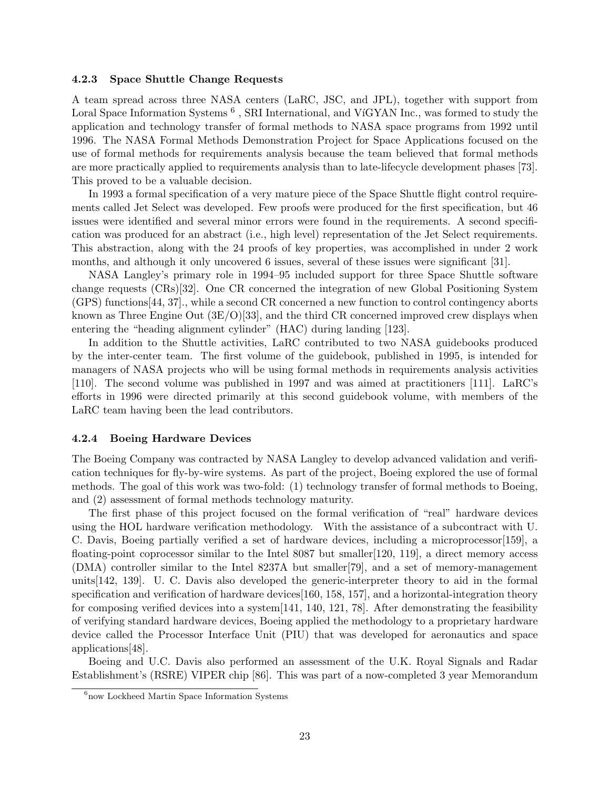#### 4.2.3 Space Shuttle Change Requests

A team spread across three NASA centers (LaRC, JSC, and JPL), together with support from Loral Space Information Systems<sup>6</sup>, SRI International, and VíGYAN Inc., was formed to study the application and technology transfer of formal methods to NASA space programs from 1992 until 1996. The NASA Formal Methods Demonstration Project for Space Applications focused on the use of formal methods for requirements analysis because the team believed that formal methods are more practically applied to requirements analysis than to late-lifecycle development phases [73]. This proved to be a valuable decision.

In 1993 a formal specification of a very mature piece of the Space Shuttle flight control requirements called Jet Select was developed. Few proofs were produced for the first specification, but 46 issues were identified and several minor errors were found in the requirements. A second specification was produced for an abstract (i.e., high level) representation of the Jet Select requirements. This abstraction, along with the 24 proofs of key properties, was accomplished in under 2 work months, and although it only uncovered 6 issues, several of these issues were significant [31].

NASA Langley's primary role in 1994–95 included support for three Space Shuttle software change requests (CRs)[32]. One CR concerned the integration of new Global Positioning System (GPS) functions[44, 37]., while a second CR concerned a new function to control contingency aborts known as Three Engine Out  $(3E/O)[33]$ , and the third CR concerned improved crew displays when entering the "heading alignment cylinder" (HAC) during landing [123].

In addition to the Shuttle activities, LaRC contributed to two NASA guidebooks produced by the inter-center team. The first volume of the guidebook, published in 1995, is intended for managers of NASA projects who will be using formal methods in requirements analysis activities [110]. The second volume was published in 1997 and was aimed at practitioners [111]. LaRC's efforts in 1996 were directed primarily at this second guidebook volume, with members of the LaRC team having been the lead contributors.

#### 4.2.4 Boeing Hardware Devices

The Boeing Company was contracted by NASA Langley to develop advanced validation and verification techniques for fly-by-wire systems. As part of the project, Boeing explored the use of formal methods. The goal of this work was two-fold: (1) technology transfer of formal methods to Boeing, and (2) assessment of formal methods technology maturity.

The first phase of this project focused on the formal verification of "real" hardware devices using the HOL hardware verification methodology. With the assistance of a subcontract with U. C. Davis, Boeing partially verified a set of hardware devices, including a microprocessor[159], a floating-point coprocessor similar to the Intel 8087 but smaller  $[120, 119]$ , a direct memory access (DMA) controller similar to the Intel 8237A but smaller[79], and a set of memory-management units[142, 139]. U. C. Davis also developed the generic-interpreter theory to aid in the formal specification and verification of hardware devices[160, 158, 157], and a horizontal-integration theory for composing verified devices into a system[141, 140, 121, 78]. After demonstrating the feasibility of verifying standard hardware devices, Boeing applied the methodology to a proprietary hardware device called the Processor Interface Unit (PIU) that was developed for aeronautics and space applications[48].

Boeing and U.C. Davis also performed an assessment of the U.K. Royal Signals and Radar Establishment's (RSRE) VIPER chip [86]. This was part of a now-completed 3 year Memorandum

<sup>&</sup>lt;sup>6</sup>now Lockheed Martin Space Information Systems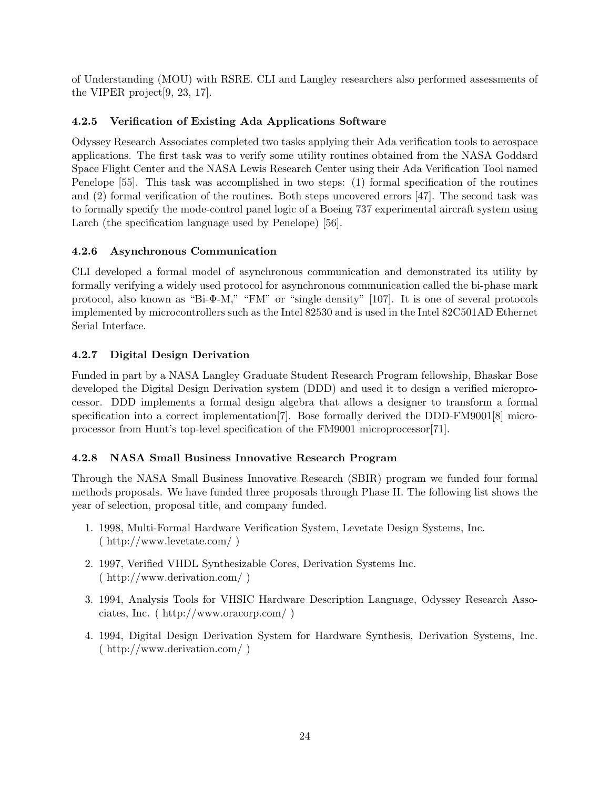of Understanding (MOU) with RSRE. CLI and Langley researchers also performed assessments of the VIPER project[9, 23, 17].

# 4.2.5 Verification of Existing Ada Applications Software

Odyssey Research Associates completed two tasks applying their Ada verification tools to aerospace applications. The first task was to verify some utility routines obtained from the NASA Goddard Space Flight Center and the NASA Lewis Research Center using their Ada Verification Tool named Penelope [55]. This task was accomplished in two steps: (1) formal specification of the routines and (2) formal verification of the routines. Both steps uncovered errors [47]. The second task was to formally specify the mode-control panel logic of a Boeing 737 experimental aircraft system using Larch (the specification language used by Penelope) [56].

# 4.2.6 Asynchronous Communication

CLI developed a formal model of asynchronous communication and demonstrated its utility by formally verifying a widely used protocol for asynchronous communication called the bi-phase mark protocol, also known as "Bi-Φ-M," "FM" or "single density" [107]. It is one of several protocols implemented by microcontrollers such as the Intel 82530 and is used in the Intel 82C501AD Ethernet Serial Interface.

# 4.2.7 Digital Design Derivation

Funded in part by a NASA Langley Graduate Student Research Program fellowship, Bhaskar Bose developed the Digital Design Derivation system (DDD) and used it to design a verified microprocessor. DDD implements a formal design algebra that allows a designer to transform a formal specification into a correct implementation[7]. Bose formally derived the DDD-FM9001[8] microprocessor from Hunt's top-level specification of the FM9001 microprocessor[71].

# 4.2.8 NASA Small Business Innovative Research Program

Through the NASA Small Business Innovative Research (SBIR) program we funded four formal methods proposals. We have funded three proposals through Phase II. The following list shows the year of selection, proposal title, and company funded.

- 1. 1998, Multi-Formal Hardware Verification System, Levetate Design Systems, Inc. ( http://www.levetate.com/ )
- 2. 1997, Verified VHDL Synthesizable Cores, Derivation Systems Inc. ( http://www.derivation.com/ )
- 3. 1994, Analysis Tools for VHSIC Hardware Description Language, Odyssey Research Associates, Inc. ( http://www.oracorp.com/ )
- 4. 1994, Digital Design Derivation System for Hardware Synthesis, Derivation Systems, Inc. ( http://www.derivation.com/ )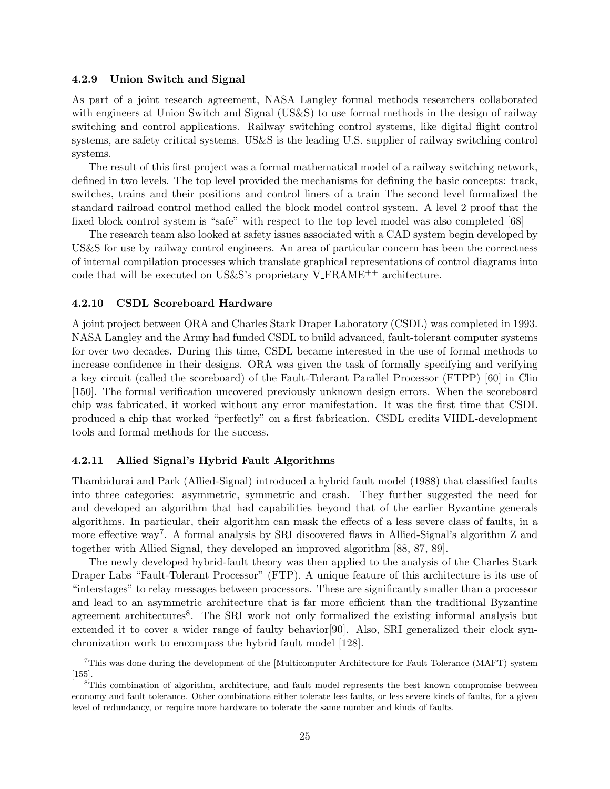#### 4.2.9 Union Switch and Signal

As part of a joint research agreement, NASA Langley formal methods researchers collaborated with engineers at Union Switch and Signal (US&S) to use formal methods in the design of railway switching and control applications. Railway switching control systems, like digital flight control systems, are safety critical systems. US&S is the leading U.S. supplier of railway switching control systems.

The result of this first project was a formal mathematical model of a railway switching network, defined in two levels. The top level provided the mechanisms for defining the basic concepts: track, switches, trains and their positions and control liners of a train The second level formalized the standard railroad control method called the block model control system. A level 2 proof that the fixed block control system is "safe" with respect to the top level model was also completed [68]

The research team also looked at safety issues associated with a CAD system begin developed by US&S for use by railway control engineers. An area of particular concern has been the correctness of internal compilation processes which translate graphical representations of control diagrams into code that will be executed on US&S's proprietary  $V$ -FRAME<sup>++</sup> architecture.

#### 4.2.10 CSDL Scoreboard Hardware

A joint project between ORA and Charles Stark Draper Laboratory (CSDL) was completed in 1993. NASA Langley and the Army had funded CSDL to build advanced, fault-tolerant computer systems for over two decades. During this time, CSDL became interested in the use of formal methods to increase confidence in their designs. ORA was given the task of formally specifying and verifying a key circuit (called the scoreboard) of the Fault-Tolerant Parallel Processor (FTPP) [60] in Clio [150]. The formal verification uncovered previously unknown design errors. When the scoreboard chip was fabricated, it worked without any error manifestation. It was the first time that CSDL produced a chip that worked "perfectly" on a first fabrication. CSDL credits VHDL-development tools and formal methods for the success.

#### 4.2.11 Allied Signal's Hybrid Fault Algorithms

Thambidurai and Park (Allied-Signal) introduced a hybrid fault model (1988) that classified faults into three categories: asymmetric, symmetric and crash. They further suggested the need for and developed an algorithm that had capabilities beyond that of the earlier Byzantine generals algorithms. In particular, their algorithm can mask the effects of a less severe class of faults, in a more effective way<sup>7</sup>. A formal analysis by SRI discovered flaws in Allied-Signal's algorithm Z and together with Allied Signal, they developed an improved algorithm [88, 87, 89].

The newly developed hybrid-fault theory was then applied to the analysis of the Charles Stark Draper Labs "Fault-Tolerant Processor" (FTP). A unique feature of this architecture is its use of "interstages" to relay messages between processors. These are significantly smaller than a processor and lead to an asymmetric architecture that is far more efficient than the traditional Byzantine agreement architectures<sup>8</sup>. The SRI work not only formalized the existing informal analysis but extended it to cover a wider range of faulty behavior[90]. Also, SRI generalized their clock synchronization work to encompass the hybrid fault model [128].

<sup>7</sup>This was done during the development of the [Multicomputer Architecture for Fault Tolerance (MAFT) system [155].

<sup>&</sup>lt;sup>8</sup>This combination of algorithm, architecture, and fault model represents the best known compromise between economy and fault tolerance. Other combinations either tolerate less faults, or less severe kinds of faults, for a given level of redundancy, or require more hardware to tolerate the same number and kinds of faults.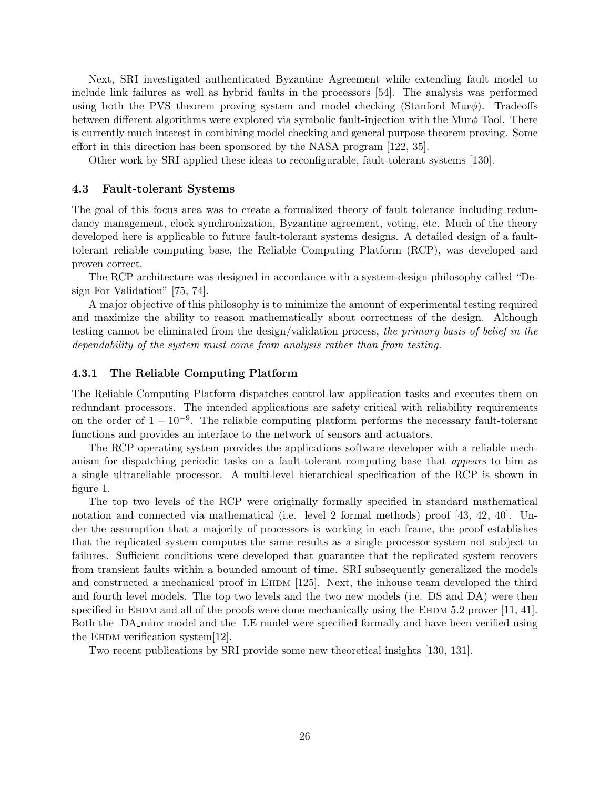Next, SRI investigated authenticated Byzantine Agreement while extending fault model to include link failures as well as hybrid faults in the processors [54]. The analysis was performed using both the PVS theorem proving system and model checking (Stanford Mur $\phi$ ). Tradeoffs between different algorithms were explored via symbolic fault-injection with the Mur $\phi$  Tool. There is currently much interest in combining model checking and general purpose theorem proving. Some effort in this direction has been sponsored by the NASA program [122, 35].

Other work by SRI applied these ideas to reconfigurable, fault-tolerant systems [130].

#### 4.3 Fault-tolerant Systems

The goal of this focus area was to create a formalized theory of fault tolerance including redundancy management, clock synchronization, Byzantine agreement, voting, etc. Much of the theory developed here is applicable to future fault-tolerant systems designs. A detailed design of a faulttolerant reliable computing base, the Reliable Computing Platform (RCP), was developed and proven correct.

The RCP architecture was designed in accordance with a system-design philosophy called "Design For Validation" [75, 74].

A major objective of this philosophy is to minimize the amount of experimental testing required and maximize the ability to reason mathematically about correctness of the design. Although testing cannot be eliminated from the design/validation process, the primary basis of belief in the dependability of the system must come from analysis rather than from testing.

#### 4.3.1 The Reliable Computing Platform

The Reliable Computing Platform dispatches control-law application tasks and executes them on redundant processors. The intended applications are safety critical with reliability requirements on the order of  $1 - 10^{-9}$ . The reliable computing platform performs the necessary fault-tolerant functions and provides an interface to the network of sensors and actuators.

The RCP operating system provides the applications software developer with a reliable mechanism for dispatching periodic tasks on a fault-tolerant computing base that appears to him as a single ultrareliable processor. A multi-level hierarchical specification of the RCP is shown in figure 1.

The top two levels of the RCP were originally formally specified in standard mathematical notation and connected via mathematical (i.e. level 2 formal methods) proof [43, 42, 40]. Under the assumption that a majority of processors is working in each frame, the proof establishes that the replicated system computes the same results as a single processor system not subject to failures. Sufficient conditions were developed that guarantee that the replicated system recovers from transient faults within a bounded amount of time. SRI subsequently generalized the models and constructed a mechanical proof in EHDM [125]. Next, the inhouse team developed the third and fourth level models. The top two levels and the two new models (i.e. DS and DA) were then specified in EHDM and all of the proofs were done mechanically using the EHDM 5.2 prover  $[11, 41]$ . Both the DA minv model and the LE model were specified formally and have been verified using the EHDM verification system $[12]$ .

Two recent publications by SRI provide some new theoretical insights [130, 131].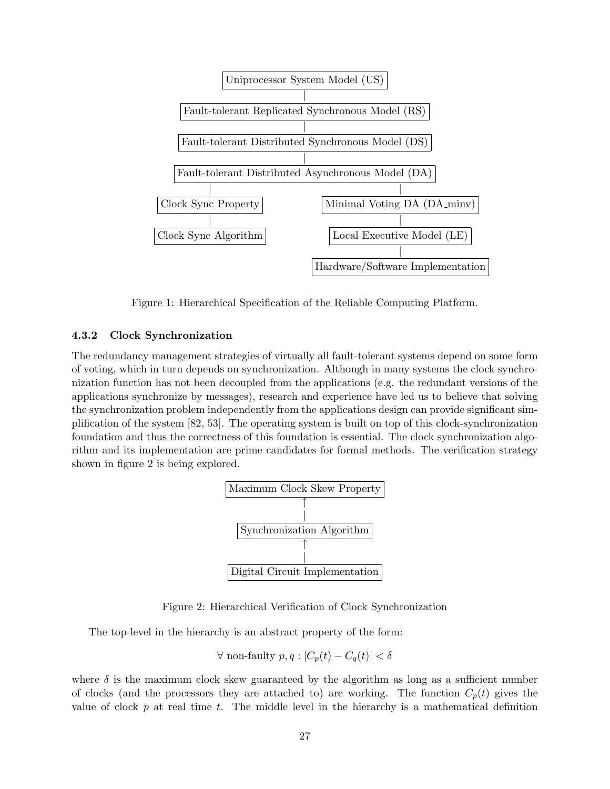

Figure 1: Hierarchical Specification of the Reliable Computing Platform.

## 4.3.2 Clock Synchronization

The redundancy management strategies of virtually all fault-tolerant systems depend on some form of voting, which in turn depends on synchronization. Although in many systems the clock synchronization function has not been decoupled from the applications (e.g. the redundant versions of the applications synchronize by messages), research and experience have led us to believe that solving the synchronization problem independently from the applications design can provide significant simplification of the system [82, 53]. The operating system is built on top of this clock-synchronization foundation and thus the correctness of this foundation is essential. The clock synchronization algorithm and its implementation are prime candidates for formal methods. The verification strategy shown in figure 2 is being explored.



Figure 2: Hierarchical Verification of Clock Synchronization

The top-level in the hierarchy is an abstract property of the form:

$$
\forall \text{ non-faulty } p, q : |C_p(t) - C_q(t)| < \delta
$$

where  $\delta$  is the maximum clock skew guaranteed by the algorithm as long as a sufficient number of clocks (and the processors they are attached to) are working. The function  $C_p(t)$  gives the value of clock p at real time t. The middle level in the hierarchy is a mathematical definition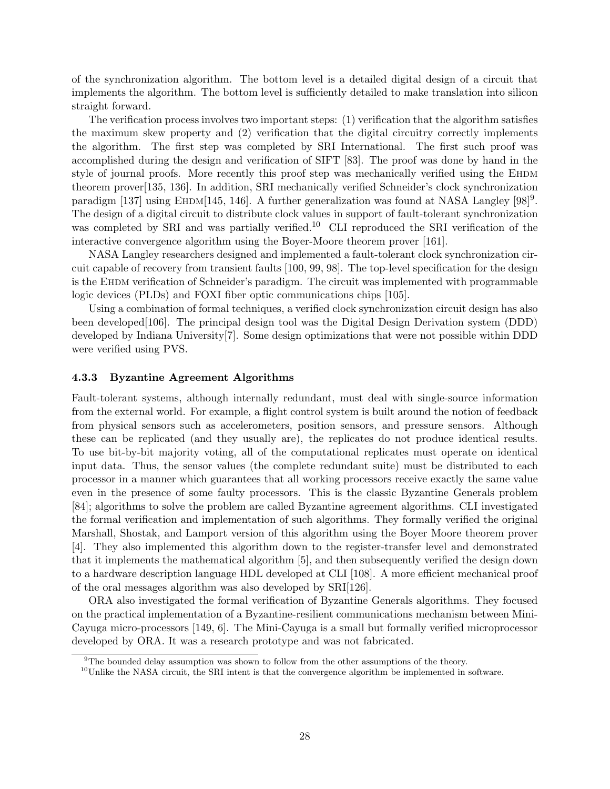of the synchronization algorithm. The bottom level is a detailed digital design of a circuit that implements the algorithm. The bottom level is sufficiently detailed to make translation into silicon straight forward.

The verification process involves two important steps: (1) verification that the algorithm satisfies the maximum skew property and (2) verification that the digital circuitry correctly implements the algorithm. The first step was completed by SRI International. The first such proof was accomplished during the design and verification of SIFT [83]. The proof was done by hand in the style of journal proofs. More recently this proof step was mechanically verified using the EHDM theorem prover[135, 136]. In addition, SRI mechanically verified Schneider's clock synchronization paradigm [137] using EHDM[145, 146]. A further generalization was found at NASA Langley [98]<sup>9</sup>. The design of a digital circuit to distribute clock values in support of fault-tolerant synchronization was completed by SRI and was partially verified.<sup>10</sup> CLI reproduced the SRI verification of the interactive convergence algorithm using the Boyer-Moore theorem prover [161].

NASA Langley researchers designed and implemented a fault-tolerant clock synchronization circuit capable of recovery from transient faults [100, 99, 98]. The top-level specification for the design is the Ehdm verification of Schneider's paradigm. The circuit was implemented with programmable logic devices (PLDs) and FOXI fiber optic communications chips [105].

Using a combination of formal techniques, a verified clock synchronization circuit design has also been developed[106]. The principal design tool was the Digital Design Derivation system (DDD) developed by Indiana University[7]. Some design optimizations that were not possible within DDD were verified using PVS.

#### 4.3.3 Byzantine Agreement Algorithms

Fault-tolerant systems, although internally redundant, must deal with single-source information from the external world. For example, a flight control system is built around the notion of feedback from physical sensors such as accelerometers, position sensors, and pressure sensors. Although these can be replicated (and they usually are), the replicates do not produce identical results. To use bit-by-bit majority voting, all of the computational replicates must operate on identical input data. Thus, the sensor values (the complete redundant suite) must be distributed to each processor in a manner which guarantees that all working processors receive exactly the same value even in the presence of some faulty processors. This is the classic Byzantine Generals problem [84]; algorithms to solve the problem are called Byzantine agreement algorithms. CLI investigated the formal verification and implementation of such algorithms. They formally verified the original Marshall, Shostak, and Lamport version of this algorithm using the Boyer Moore theorem prover [4]. They also implemented this algorithm down to the register-transfer level and demonstrated that it implements the mathematical algorithm [5], and then subsequently verified the design down to a hardware description language HDL developed at CLI [108]. A more efficient mechanical proof of the oral messages algorithm was also developed by SRI[126].

ORA also investigated the formal verification of Byzantine Generals algorithms. They focused on the practical implementation of a Byzantine-resilient communications mechanism between Mini-Cayuga micro-processors [149, 6]. The Mini-Cayuga is a small but formally verified microprocessor developed by ORA. It was a research prototype and was not fabricated.

<sup>9</sup>The bounded delay assumption was shown to follow from the other assumptions of the theory.

 $10$ Unlike the NASA circuit, the SRI intent is that the convergence algorithm be implemented in software.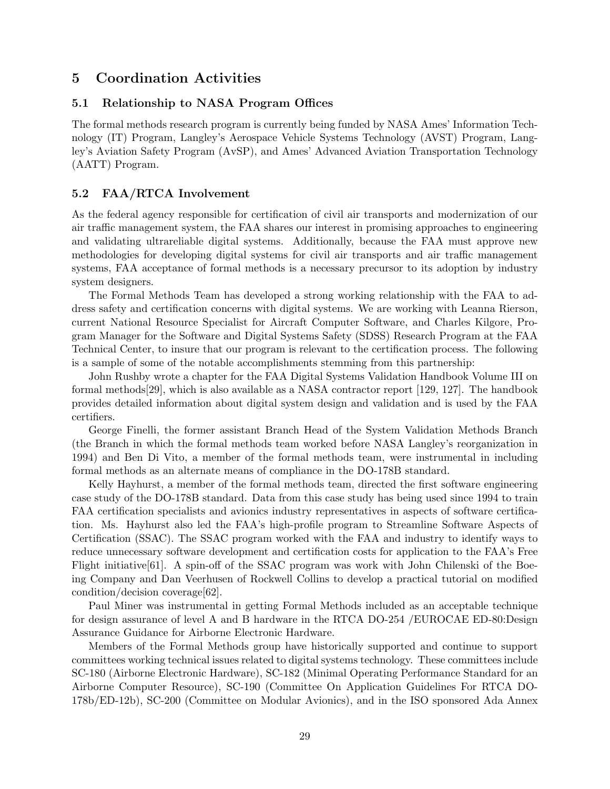# 5 Coordination Activities

# 5.1 Relationship to NASA Program Offices

The formal methods research program is currently being funded by NASA Ames' Information Technology (IT) Program, Langley's Aerospace Vehicle Systems Technology (AVST) Program, Langley's Aviation Safety Program (AvSP), and Ames' Advanced Aviation Transportation Technology (AATT) Program.

# 5.2 FAA/RTCA Involvement

As the federal agency responsible for certification of civil air transports and modernization of our air traffic management system, the FAA shares our interest in promising approaches to engineering and validating ultrareliable digital systems. Additionally, because the FAA must approve new methodologies for developing digital systems for civil air transports and air traffic management systems, FAA acceptance of formal methods is a necessary precursor to its adoption by industry system designers.

The Formal Methods Team has developed a strong working relationship with the FAA to address safety and certification concerns with digital systems. We are working with Leanna Rierson, current National Resource Specialist for Aircraft Computer Software, and Charles Kilgore, Program Manager for the Software and Digital Systems Safety (SDSS) Research Program at the FAA Technical Center, to insure that our program is relevant to the certification process. The following is a sample of some of the notable accomplishments stemming from this partnership:

John Rushby wrote a chapter for the FAA Digital Systems Validation Handbook Volume III on formal methods[29], which is also available as a NASA contractor report [129, 127]. The handbook provides detailed information about digital system design and validation and is used by the FAA certifiers.

George Finelli, the former assistant Branch Head of the System Validation Methods Branch (the Branch in which the formal methods team worked before NASA Langley's reorganization in 1994) and Ben Di Vito, a member of the formal methods team, were instrumental in including formal methods as an alternate means of compliance in the DO-178B standard.

Kelly Hayhurst, a member of the formal methods team, directed the first software engineering case study of the DO-178B standard. Data from this case study has being used since 1994 to train FAA certification specialists and avionics industry representatives in aspects of software certification. Ms. Hayhurst also led the FAA's high-profile program to Streamline Software Aspects of Certification (SSAC). The SSAC program worked with the FAA and industry to identify ways to reduce unnecessary software development and certification costs for application to the FAA's Free Flight initiative[61]. A spin-off of the SSAC program was work with John Chilenski of the Boeing Company and Dan Veerhusen of Rockwell Collins to develop a practical tutorial on modified condition/decision coverage[62].

Paul Miner was instrumental in getting Formal Methods included as an acceptable technique for design assurance of level A and B hardware in the RTCA DO-254 /EUROCAE ED-80:Design Assurance Guidance for Airborne Electronic Hardware.

Members of the Formal Methods group have historically supported and continue to support committees working technical issues related to digital systems technology. These committees include SC-180 (Airborne Electronic Hardware), SC-182 (Minimal Operating Performance Standard for an Airborne Computer Resource), SC-190 (Committee On Application Guidelines For RTCA DO-178b/ED-12b), SC-200 (Committee on Modular Avionics), and in the ISO sponsored Ada Annex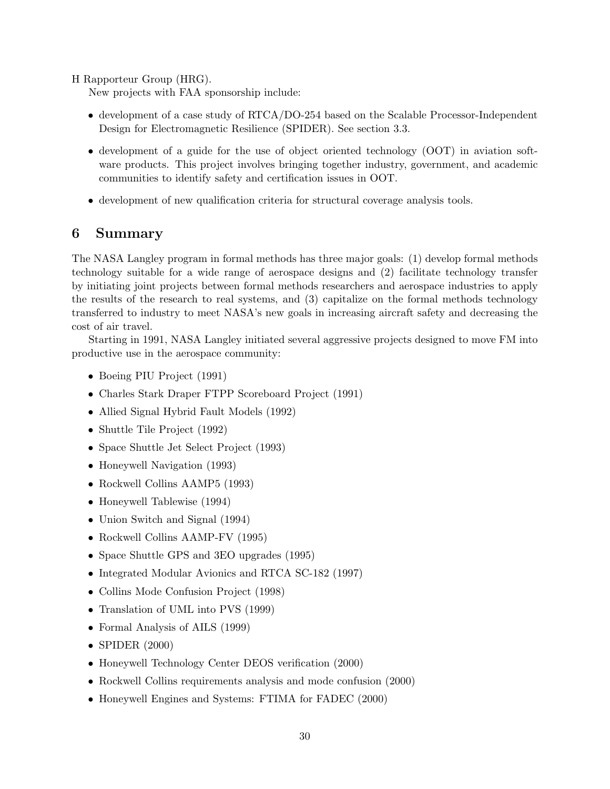H Rapporteur Group (HRG).

New projects with FAA sponsorship include:

- development of a case study of RTCA/DO-254 based on the Scalable Processor-Independent Design for Electromagnetic Resilience (SPIDER). See section 3.3.
- development of a guide for the use of object oriented technology (OOT) in aviation software products. This project involves bringing together industry, government, and academic communities to identify safety and certification issues in OOT.
- development of new qualification criteria for structural coverage analysis tools.

# 6 Summary

The NASA Langley program in formal methods has three major goals: (1) develop formal methods technology suitable for a wide range of aerospace designs and (2) facilitate technology transfer by initiating joint projects between formal methods researchers and aerospace industries to apply the results of the research to real systems, and (3) capitalize on the formal methods technology transferred to industry to meet NASA's new goals in increasing aircraft safety and decreasing the cost of air travel.

Starting in 1991, NASA Langley initiated several aggressive projects designed to move FM into productive use in the aerospace community:

- Boeing PIU Project (1991)
- Charles Stark Draper FTPP Scoreboard Project (1991)
- Allied Signal Hybrid Fault Models (1992)
- Shuttle Tile Project (1992)
- Space Shuttle Jet Select Project (1993)
- Honeywell Navigation (1993)
- Rockwell Collins AAMP5 (1993)
- Honeywell Tablewise (1994)
- Union Switch and Signal (1994)
- Rockwell Collins AAMP-FV (1995)
- Space Shuttle GPS and 3EO upgrades (1995)
- Integrated Modular Avionics and RTCA SC-182 (1997)
- Collins Mode Confusion Project (1998)
- Translation of UML into PVS (1999)
- Formal Analysis of AILS (1999)
- SPIDER (2000)
- Honeywell Technology Center DEOS verification (2000)
- Rockwell Collins requirements analysis and mode confusion (2000)
- Honeywell Engines and Systems: FTIMA for FADEC (2000)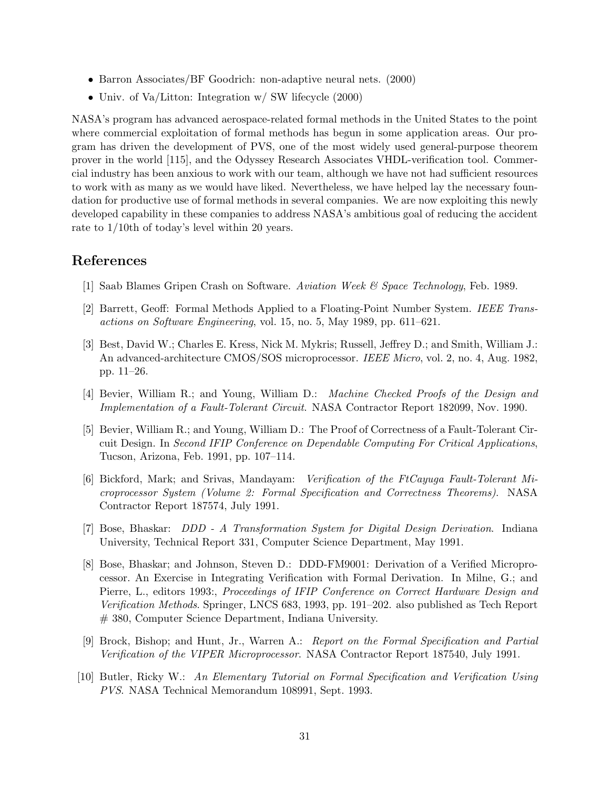- Barron Associates/BF Goodrich: non-adaptive neural nets. (2000)
- Univ. of Va/Litton: Integration w/ SW lifecycle (2000)

NASA's program has advanced aerospace-related formal methods in the United States to the point where commercial exploitation of formal methods has begun in some application areas. Our program has driven the development of PVS, one of the most widely used general-purpose theorem prover in the world [115], and the Odyssey Research Associates VHDL-verification tool. Commercial industry has been anxious to work with our team, although we have not had sufficient resources to work with as many as we would have liked. Nevertheless, we have helped lay the necessary foundation for productive use of formal methods in several companies. We are now exploiting this newly developed capability in these companies to address NASA's ambitious goal of reducing the accident rate to 1/10th of today's level within 20 years.

# References

- [1] Saab Blames Gripen Crash on Software. Aviation Week & Space Technology, Feb. 1989.
- [2] Barrett, Geoff: Formal Methods Applied to a Floating-Point Number System. IEEE Transactions on Software Engineering, vol. 15, no. 5, May 1989, pp. 611–621.
- [3] Best, David W.; Charles E. Kress, Nick M. Mykris; Russell, Jeffrey D.; and Smith, William J.: An advanced-architecture CMOS/SOS microprocessor. IEEE Micro, vol. 2, no. 4, Aug. 1982, pp. 11–26.
- [4] Bevier, William R.; and Young, William D.: Machine Checked Proofs of the Design and Implementation of a Fault-Tolerant Circuit. NASA Contractor Report 182099, Nov. 1990.
- [5] Bevier, William R.; and Young, William D.: The Proof of Correctness of a Fault-Tolerant Circuit Design. In Second IFIP Conference on Dependable Computing For Critical Applications, Tucson, Arizona, Feb. 1991, pp. 107–114.
- [6] Bickford, Mark; and Srivas, Mandayam: Verification of the FtCayuga Fault-Tolerant Microprocessor System (Volume 2: Formal Specification and Correctness Theorems). NASA Contractor Report 187574, July 1991.
- [7] Bose, Bhaskar: DDD A Transformation System for Digital Design Derivation. Indiana University, Technical Report 331, Computer Science Department, May 1991.
- [8] Bose, Bhaskar; and Johnson, Steven D.: DDD-FM9001: Derivation of a Verified Microprocessor. An Exercise in Integrating Verification with Formal Derivation. In Milne, G.; and Pierre, L., editors 1993:, Proceedings of IFIP Conference on Correct Hardware Design and Verification Methods. Springer, LNCS 683, 1993, pp. 191–202. also published as Tech Report # 380, Computer Science Department, Indiana University.
- [9] Brock, Bishop; and Hunt, Jr., Warren A.: Report on the Formal Specification and Partial Verification of the VIPER Microprocessor. NASA Contractor Report 187540, July 1991.
- [10] Butler, Ricky W.: An Elementary Tutorial on Formal Specification and Verification Using PVS. NASA Technical Memorandum 108991, Sept. 1993.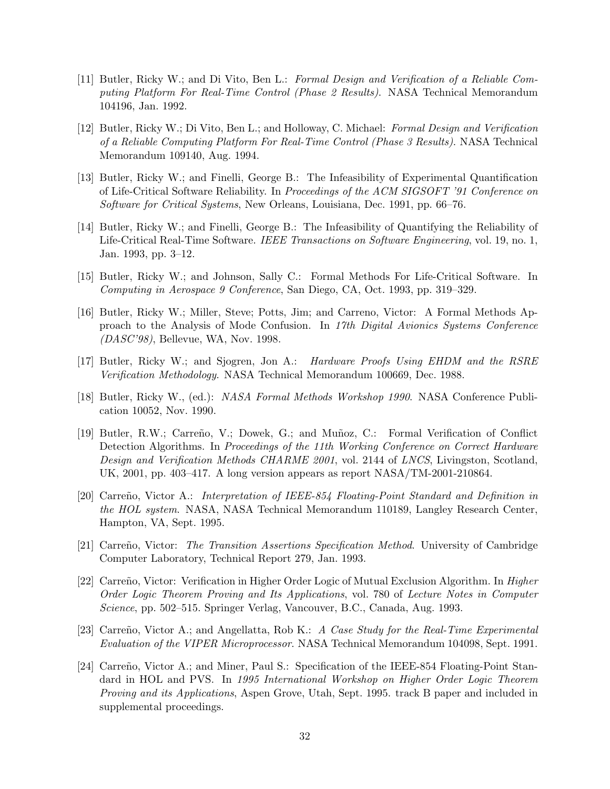- [11] Butler, Ricky W.; and Di Vito, Ben L.: Formal Design and Verification of a Reliable Computing Platform For Real-Time Control (Phase 2 Results). NASA Technical Memorandum 104196, Jan. 1992.
- [12] Butler, Ricky W.; Di Vito, Ben L.; and Holloway, C. Michael: Formal Design and Verification of a Reliable Computing Platform For Real-Time Control (Phase 3 Results). NASA Technical Memorandum 109140, Aug. 1994.
- [13] Butler, Ricky W.; and Finelli, George B.: The Infeasibility of Experimental Quantification of Life-Critical Software Reliability. In Proceedings of the ACM SIGSOFT '91 Conference on Software for Critical Systems, New Orleans, Louisiana, Dec. 1991, pp. 66–76.
- [14] Butler, Ricky W.; and Finelli, George B.: The Infeasibility of Quantifying the Reliability of Life-Critical Real-Time Software. IEEE Transactions on Software Engineering, vol. 19, no. 1, Jan. 1993, pp. 3–12.
- [15] Butler, Ricky W.; and Johnson, Sally C.: Formal Methods For Life-Critical Software. In Computing in Aerospace 9 Conference, San Diego, CA, Oct. 1993, pp. 319–329.
- [16] Butler, Ricky W.; Miller, Steve; Potts, Jim; and Carreno, Victor: A Formal Methods Approach to the Analysis of Mode Confusion. In 17th Digital Avionics Systems Conference (DASC'98), Bellevue, WA, Nov. 1998.
- [17] Butler, Ricky W.; and Sjogren, Jon A.: Hardware Proofs Using EHDM and the RSRE Verification Methodology. NASA Technical Memorandum 100669, Dec. 1988.
- [18] Butler, Ricky W., (ed.): NASA Formal Methods Workshop 1990. NASA Conference Publication 10052, Nov. 1990.
- [19] Butler, R.W.; Carreño, V.; Dowek, G.; and Muñoz, C.: Formal Verification of Conflict Detection Algorithms. In Proceedings of the 11th Working Conference on Correct Hardware Design and Verification Methods CHARME 2001, vol. 2144 of LNCS, Livingston, Scotland, UK, 2001, pp. 403–417. A long version appears as report NASA/TM-2001-210864.
- [20] Carreño, Victor A.: Interpretation of IEEE-854 Floating-Point Standard and Definition in the HOL system. NASA, NASA Technical Memorandum 110189, Langley Research Center, Hampton, VA, Sept. 1995.
- [21] Carreño, Victor: The Transition Assertions Specification Method. University of Cambridge Computer Laboratory, Technical Report 279, Jan. 1993.
- [22] Carreño, Victor: Verification in Higher Order Logic of Mutual Exclusion Algorithm. In *Higher* Order Logic Theorem Proving and Its Applications, vol. 780 of Lecture Notes in Computer Science, pp. 502–515. Springer Verlag, Vancouver, B.C., Canada, Aug. 1993.
- [23] Carreño, Victor A.; and Angellatta, Rob K.: A Case Study for the Real-Time Experimental Evaluation of the VIPER Microprocessor. NASA Technical Memorandum 104098, Sept. 1991.
- [24] Carreño, Victor A.; and Miner, Paul S.: Specification of the IEEE-854 Floating-Point Standard in HOL and PVS. In 1995 International Workshop on Higher Order Logic Theorem Proving and its Applications, Aspen Grove, Utah, Sept. 1995. track B paper and included in supplemental proceedings.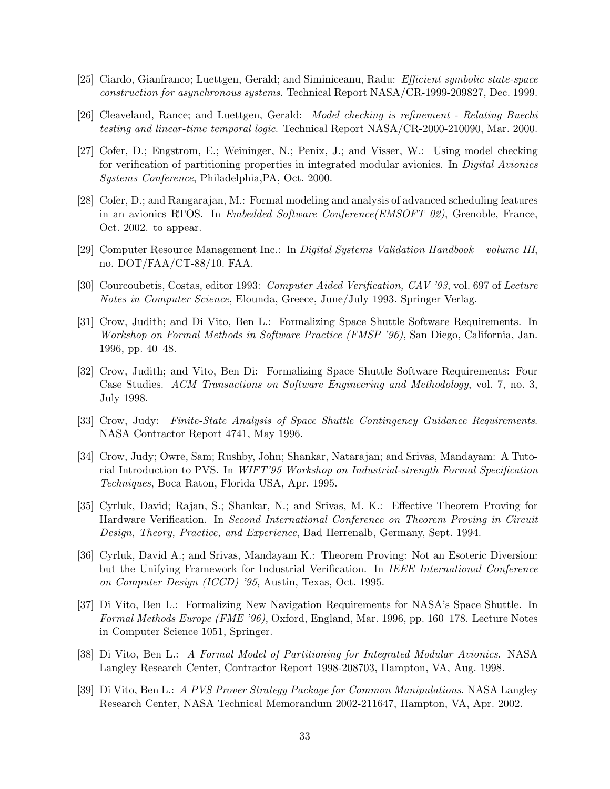- [25] Ciardo, Gianfranco; Luettgen, Gerald; and Siminiceanu, Radu: Efficient symbolic state-space construction for asynchronous systems. Technical Report NASA/CR-1999-209827, Dec. 1999.
- [26] Cleaveland, Rance; and Luettgen, Gerald: Model checking is refinement Relating Buechi testing and linear-time temporal logic. Technical Report NASA/CR-2000-210090, Mar. 2000.
- [27] Cofer, D.; Engstrom, E.; Weininger, N.; Penix, J.; and Visser, W.: Using model checking for verification of partitioning properties in integrated modular avionics. In Digital Avionics Systems Conference, Philadelphia,PA, Oct. 2000.
- [28] Cofer, D.; and Rangarajan, M.: Formal modeling and analysis of advanced scheduling features in an avionics RTOS. In Embedded Software Conference(EMSOFT 02), Grenoble, France, Oct. 2002. to appear.
- [29] Computer Resource Management Inc.: In Digital Systems Validation Handbook volume III, no. DOT/FAA/CT-88/10. FAA.
- [30] Courcoubetis, Costas, editor 1993: Computer Aided Verification, CAV '93, vol. 697 of Lecture Notes in Computer Science, Elounda, Greece, June/July 1993. Springer Verlag.
- [31] Crow, Judith; and Di Vito, Ben L.: Formalizing Space Shuttle Software Requirements. In Workshop on Formal Methods in Software Practice (FMSP '96), San Diego, California, Jan. 1996, pp. 40–48.
- [32] Crow, Judith; and Vito, Ben Di: Formalizing Space Shuttle Software Requirements: Four Case Studies. ACM Transactions on Software Engineering and Methodology, vol. 7, no. 3, July 1998.
- [33] Crow, Judy: Finite-State Analysis of Space Shuttle Contingency Guidance Requirements. NASA Contractor Report 4741, May 1996.
- [34] Crow, Judy; Owre, Sam; Rushby, John; Shankar, Natarajan; and Srivas, Mandayam: A Tutorial Introduction to PVS. In WIFT'95 Workshop on Industrial-strength Formal Specification Techniques, Boca Raton, Florida USA, Apr. 1995.
- [35] Cyrluk, David; Rajan, S.; Shankar, N.; and Srivas, M. K.: Effective Theorem Proving for Hardware Verification. In Second International Conference on Theorem Proving in Circuit Design, Theory, Practice, and Experience, Bad Herrenalb, Germany, Sept. 1994.
- [36] Cyrluk, David A.; and Srivas, Mandayam K.: Theorem Proving: Not an Esoteric Diversion: but the Unifying Framework for Industrial Verification. In IEEE International Conference on Computer Design (ICCD) '95, Austin, Texas, Oct. 1995.
- [37] Di Vito, Ben L.: Formalizing New Navigation Requirements for NASA's Space Shuttle. In Formal Methods Europe (FME '96), Oxford, England, Mar. 1996, pp. 160–178. Lecture Notes in Computer Science 1051, Springer.
- [38] Di Vito, Ben L.: A Formal Model of Partitioning for Integrated Modular Avionics. NASA Langley Research Center, Contractor Report 1998-208703, Hampton, VA, Aug. 1998.
- [39] Di Vito, Ben L.: A PVS Prover Strategy Package for Common Manipulations. NASA Langley Research Center, NASA Technical Memorandum 2002-211647, Hampton, VA, Apr. 2002.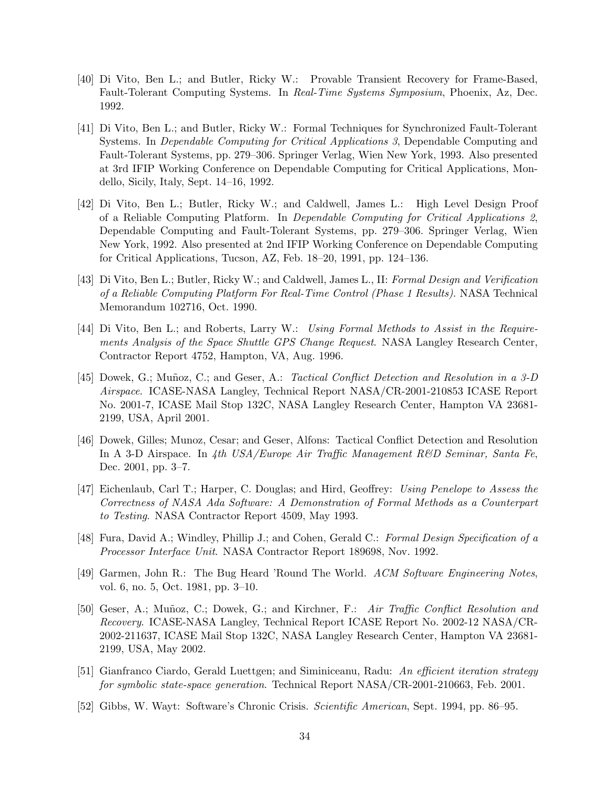- [40] Di Vito, Ben L.; and Butler, Ricky W.: Provable Transient Recovery for Frame-Based, Fault-Tolerant Computing Systems. In Real-Time Systems Symposium, Phoenix, Az, Dec. 1992.
- [41] Di Vito, Ben L.; and Butler, Ricky W.: Formal Techniques for Synchronized Fault-Tolerant Systems. In Dependable Computing for Critical Applications 3, Dependable Computing and Fault-Tolerant Systems, pp. 279–306. Springer Verlag, Wien New York, 1993. Also presented at 3rd IFIP Working Conference on Dependable Computing for Critical Applications, Mondello, Sicily, Italy, Sept. 14–16, 1992.
- [42] Di Vito, Ben L.; Butler, Ricky W.; and Caldwell, James L.: High Level Design Proof of a Reliable Computing Platform. In Dependable Computing for Critical Applications 2, Dependable Computing and Fault-Tolerant Systems, pp. 279–306. Springer Verlag, Wien New York, 1992. Also presented at 2nd IFIP Working Conference on Dependable Computing for Critical Applications, Tucson, AZ, Feb. 18–20, 1991, pp. 124–136.
- [43] Di Vito, Ben L.; Butler, Ricky W.; and Caldwell, James L., II: Formal Design and Verification of a Reliable Computing Platform For Real-Time Control (Phase 1 Results). NASA Technical Memorandum 102716, Oct. 1990.
- [44] Di Vito, Ben L.; and Roberts, Larry W.: Using Formal Methods to Assist in the Requirements Analysis of the Space Shuttle GPS Change Request. NASA Langley Research Center, Contractor Report 4752, Hampton, VA, Aug. 1996.
- [45] Dowek, G.; Muñoz, C.; and Geser, A.: Tactical Conflict Detection and Resolution in a 3-D Airspace. ICASE-NASA Langley, Technical Report NASA/CR-2001-210853 ICASE Report No. 2001-7, ICASE Mail Stop 132C, NASA Langley Research Center, Hampton VA 23681- 2199, USA, April 2001.
- [46] Dowek, Gilles; Munoz, Cesar; and Geser, Alfons: Tactical Conflict Detection and Resolution In A 3-D Airspace. In 4th USA/Europe Air Traffic Management R&D Seminar, Santa Fe, Dec. 2001, pp. 3–7.
- [47] Eichenlaub, Carl T.; Harper, C. Douglas; and Hird, Geoffrey: Using Penelope to Assess the Correctness of NASA Ada Software: A Demonstration of Formal Methods as a Counterpart to Testing. NASA Contractor Report 4509, May 1993.
- [48] Fura, David A.; Windley, Phillip J.; and Cohen, Gerald C.: Formal Design Specification of a Processor Interface Unit. NASA Contractor Report 189698, Nov. 1992.
- [49] Garmen, John R.: The Bug Heard 'Round The World. ACM Software Engineering Notes, vol. 6, no. 5, Oct. 1981, pp. 3–10.
- [50] Geser, A.; Muñoz, C.; Dowek, G.; and Kirchner, F.: Air Traffic Conflict Resolution and Recovery. ICASE-NASA Langley, Technical Report ICASE Report No. 2002-12 NASA/CR-2002-211637, ICASE Mail Stop 132C, NASA Langley Research Center, Hampton VA 23681- 2199, USA, May 2002.
- [51] Gianfranco Ciardo, Gerald Luettgen; and Siminiceanu, Radu: An efficient iteration strategy for symbolic state-space generation. Technical Report NASA/CR-2001-210663, Feb. 2001.
- [52] Gibbs, W. Wayt: Software's Chronic Crisis. Scientific American, Sept. 1994, pp. 86–95.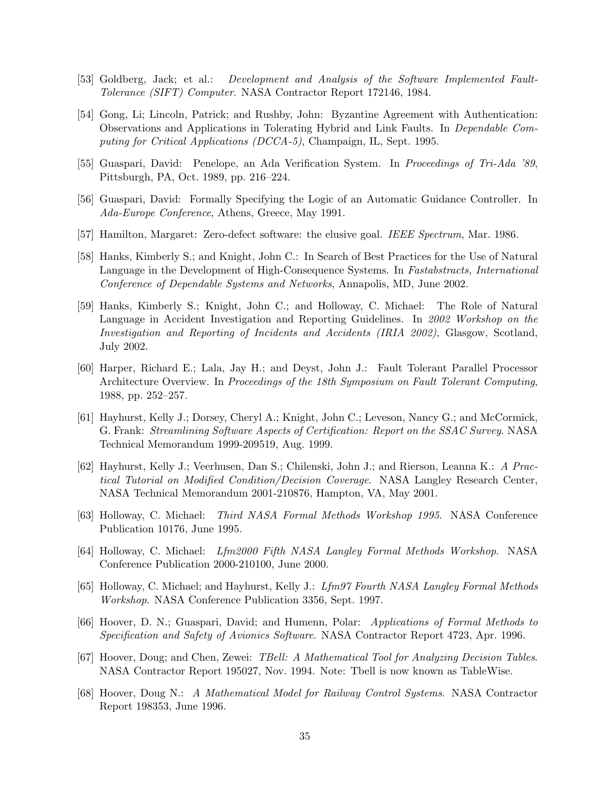- [53] Goldberg, Jack; et al.: Development and Analysis of the Software Implemented Fault-Tolerance (SIFT) Computer. NASA Contractor Report 172146, 1984.
- [54] Gong, Li; Lincoln, Patrick; and Rushby, John: Byzantine Agreement with Authentication: Observations and Applications in Tolerating Hybrid and Link Faults. In Dependable Computing for Critical Applications (DCCA-5), Champaign, IL, Sept. 1995.
- [55] Guaspari, David: Penelope, an Ada Verification System. In Proceedings of Tri-Ada '89, Pittsburgh, PA, Oct. 1989, pp. 216–224.
- [56] Guaspari, David: Formally Specifying the Logic of an Automatic Guidance Controller. In Ada-Europe Conference, Athens, Greece, May 1991.
- [57] Hamilton, Margaret: Zero-defect software: the elusive goal. IEEE Spectrum, Mar. 1986.
- [58] Hanks, Kimberly S.; and Knight, John C.: In Search of Best Practices for the Use of Natural Language in the Development of High-Consequence Systems. In Fastabstracts, International Conference of Dependable Systems and Networks, Annapolis, MD, June 2002.
- [59] Hanks, Kimberly S.; Knight, John C.; and Holloway, C. Michael: The Role of Natural Language in Accident Investigation and Reporting Guidelines. In 2002 Workshop on the Investigation and Reporting of Incidents and Accidents (IRIA 2002), Glasgow, Scotland, July 2002.
- [60] Harper, Richard E.; Lala, Jay H.; and Deyst, John J.: Fault Tolerant Parallel Processor Architecture Overview. In Proceedings of the 18th Symposium on Fault Tolerant Computing, 1988, pp. 252–257.
- [61] Hayhurst, Kelly J.; Dorsey, Cheryl A.; Knight, John C.; Leveson, Nancy G.; and McCormick, G. Frank: Streamlining Software Aspects of Certification: Report on the SSAC Survey. NASA Technical Memorandum 1999-209519, Aug. 1999.
- [62] Hayhurst, Kelly J.; Veerhusen, Dan S.; Chilenski, John J.; and Rierson, Leanna K.: A Practical Tutorial on Modified Condition/Decision Coverage. NASA Langley Research Center, NASA Technical Memorandum 2001-210876, Hampton, VA, May 2001.
- [63] Holloway, C. Michael: Third NASA Formal Methods Workshop 1995. NASA Conference Publication 10176, June 1995.
- [64] Holloway, C. Michael: Lfm2000 Fifth NASA Langley Formal Methods Workshop. NASA Conference Publication 2000-210100, June 2000.
- [65] Holloway, C. Michael; and Hayhurst, Kelly J.: Lfm97 Fourth NASA Langley Formal Methods Workshop. NASA Conference Publication 3356, Sept. 1997.
- [66] Hoover, D. N.; Guaspari, David; and Humenn, Polar: Applications of Formal Methods to Specification and Safety of Avionics Software. NASA Contractor Report 4723, Apr. 1996.
- [67] Hoover, Doug; and Chen, Zewei: TBell: A Mathematical Tool for Analyzing Decision Tables. NASA Contractor Report 195027, Nov. 1994. Note: Tbell is now known as TableWise.
- [68] Hoover, Doug N.: A Mathematical Model for Railway Control Systems. NASA Contractor Report 198353, June 1996.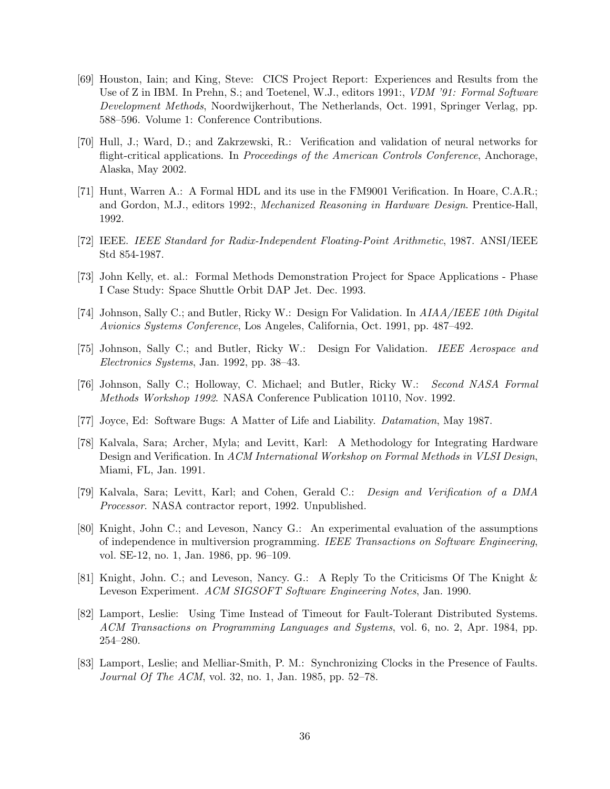- [69] Houston, Iain; and King, Steve: CICS Project Report: Experiences and Results from the Use of Z in IBM. In Prehn, S.; and Toetenel, W.J., editors 1991:, VDM '91: Formal Software Development Methods, Noordwijkerhout, The Netherlands, Oct. 1991, Springer Verlag, pp. 588–596. Volume 1: Conference Contributions.
- [70] Hull, J.; Ward, D.; and Zakrzewski, R.: Verification and validation of neural networks for flight-critical applications. In Proceedings of the American Controls Conference, Anchorage, Alaska, May 2002.
- [71] Hunt, Warren A.: A Formal HDL and its use in the FM9001 Verification. In Hoare, C.A.R.; and Gordon, M.J., editors 1992:, Mechanized Reasoning in Hardware Design. Prentice-Hall, 1992.
- [72] IEEE. IEEE Standard for Radix-Independent Floating-Point Arithmetic, 1987. ANSI/IEEE Std 854-1987.
- [73] John Kelly, et. al.: Formal Methods Demonstration Project for Space Applications Phase I Case Study: Space Shuttle Orbit DAP Jet. Dec. 1993.
- [74] Johnson, Sally C.; and Butler, Ricky W.: Design For Validation. In AIAA/IEEE 10th Digital Avionics Systems Conference, Los Angeles, California, Oct. 1991, pp. 487–492.
- [75] Johnson, Sally C.; and Butler, Ricky W.: Design For Validation. IEEE Aerospace and Electronics Systems, Jan. 1992, pp. 38–43.
- [76] Johnson, Sally C.; Holloway, C. Michael; and Butler, Ricky W.: Second NASA Formal Methods Workshop 1992. NASA Conference Publication 10110, Nov. 1992.
- [77] Joyce, Ed: Software Bugs: A Matter of Life and Liability. Datamation, May 1987.
- [78] Kalvala, Sara; Archer, Myla; and Levitt, Karl: A Methodology for Integrating Hardware Design and Verification. In ACM International Workshop on Formal Methods in VLSI Design, Miami, FL, Jan. 1991.
- [79] Kalvala, Sara; Levitt, Karl; and Cohen, Gerald C.: Design and Verification of a DMA Processor. NASA contractor report, 1992. Unpublished.
- [80] Knight, John C.; and Leveson, Nancy G.: An experimental evaluation of the assumptions of independence in multiversion programming. IEEE Transactions on Software Engineering, vol. SE-12, no. 1, Jan. 1986, pp. 96–109.
- [81] Knight, John. C.; and Leveson, Nancy. G.: A Reply To the Criticisms Of The Knight & Leveson Experiment. ACM SIGSOFT Software Engineering Notes, Jan. 1990.
- [82] Lamport, Leslie: Using Time Instead of Timeout for Fault-Tolerant Distributed Systems. ACM Transactions on Programming Languages and Systems, vol. 6, no. 2, Apr. 1984, pp. 254–280.
- [83] Lamport, Leslie; and Melliar-Smith, P. M.: Synchronizing Clocks in the Presence of Faults. Journal Of The ACM, vol. 32, no. 1, Jan. 1985, pp. 52–78.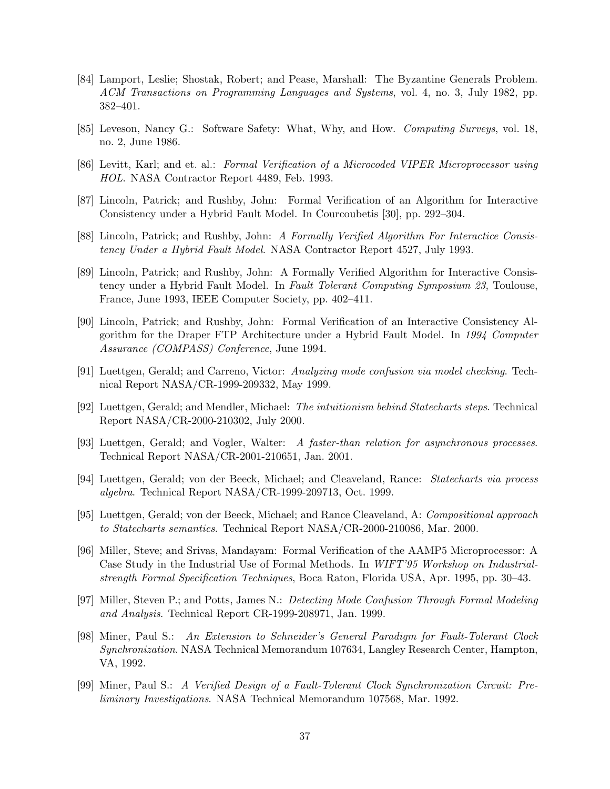- [84] Lamport, Leslie; Shostak, Robert; and Pease, Marshall: The Byzantine Generals Problem. ACM Transactions on Programming Languages and Systems, vol. 4, no. 3, July 1982, pp. 382–401.
- [85] Leveson, Nancy G.: Software Safety: What, Why, and How. Computing Surveys, vol. 18, no. 2, June 1986.
- [86] Levitt, Karl; and et. al.: Formal Verification of a Microcoded VIPER Microprocessor using HOL. NASA Contractor Report 4489, Feb. 1993.
- [87] Lincoln, Patrick; and Rushby, John: Formal Verification of an Algorithm for Interactive Consistency under a Hybrid Fault Model. In Courcoubetis [30], pp. 292–304.
- [88] Lincoln, Patrick; and Rushby, John: A Formally Verified Algorithm For Interactice Consistency Under a Hybrid Fault Model. NASA Contractor Report 4527, July 1993.
- [89] Lincoln, Patrick; and Rushby, John: A Formally Verified Algorithm for Interactive Consistency under a Hybrid Fault Model. In Fault Tolerant Computing Symposium 23, Toulouse, France, June 1993, IEEE Computer Society, pp. 402–411.
- [90] Lincoln, Patrick; and Rushby, John: Formal Verification of an Interactive Consistency Algorithm for the Draper FTP Architecture under a Hybrid Fault Model. In 1994 Computer Assurance (COMPASS) Conference, June 1994.
- [91] Luettgen, Gerald; and Carreno, Victor: Analyzing mode confusion via model checking. Technical Report NASA/CR-1999-209332, May 1999.
- [92] Luettgen, Gerald; and Mendler, Michael: The intuitionism behind Statecharts steps. Technical Report NASA/CR-2000-210302, July 2000.
- [93] Luettgen, Gerald; and Vogler, Walter: A faster-than relation for asynchronous processes. Technical Report NASA/CR-2001-210651, Jan. 2001.
- [94] Luettgen, Gerald; von der Beeck, Michael; and Cleaveland, Rance: Statecharts via process algebra. Technical Report NASA/CR-1999-209713, Oct. 1999.
- [95] Luettgen, Gerald; von der Beeck, Michael; and Rance Cleaveland, A: Compositional approach to Statecharts semantics. Technical Report NASA/CR-2000-210086, Mar. 2000.
- [96] Miller, Steve; and Srivas, Mandayam: Formal Verification of the AAMP5 Microprocessor: A Case Study in the Industrial Use of Formal Methods. In WIFT'95 Workshop on Industrialstrength Formal Specification Techniques, Boca Raton, Florida USA, Apr. 1995, pp. 30–43.
- [97] Miller, Steven P.; and Potts, James N.: Detecting Mode Confusion Through Formal Modeling and Analysis. Technical Report CR-1999-208971, Jan. 1999.
- [98] Miner, Paul S.: An Extension to Schneider's General Paradigm for Fault-Tolerant Clock Synchronization. NASA Technical Memorandum 107634, Langley Research Center, Hampton, VA, 1992.
- [99] Miner, Paul S.: A Verified Design of a Fault-Tolerant Clock Synchronization Circuit: Preliminary Investigations. NASA Technical Memorandum 107568, Mar. 1992.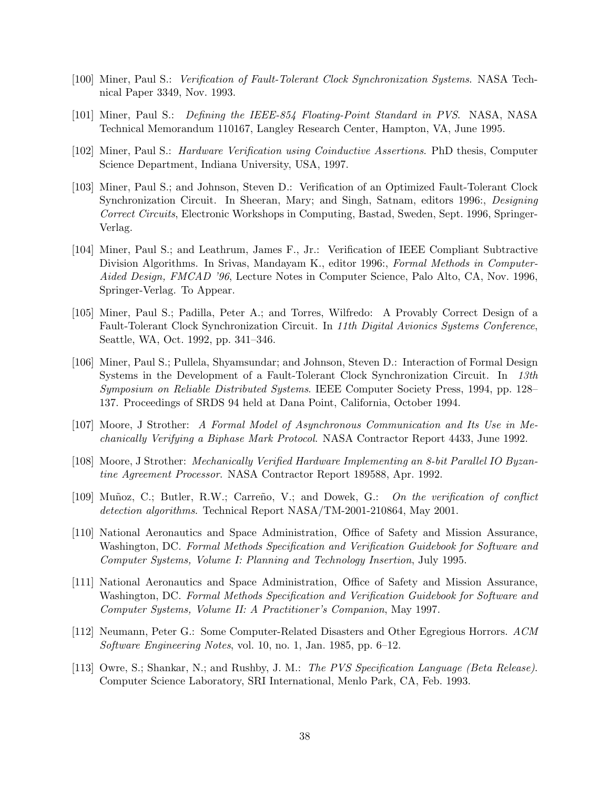- [100] Miner, Paul S.: Verification of Fault-Tolerant Clock Synchronization Systems. NASA Technical Paper 3349, Nov. 1993.
- [101] Miner, Paul S.: Defining the IEEE-854 Floating-Point Standard in PVS. NASA, NASA Technical Memorandum 110167, Langley Research Center, Hampton, VA, June 1995.
- [102] Miner, Paul S.: Hardware Verification using Coinductive Assertions. PhD thesis, Computer Science Department, Indiana University, USA, 1997.
- [103] Miner, Paul S.; and Johnson, Steven D.: Verification of an Optimized Fault-Tolerant Clock Synchronization Circuit. In Sheeran, Mary; and Singh, Satnam, editors 1996:, Designing Correct Circuits, Electronic Workshops in Computing, Bastad, Sweden, Sept. 1996, Springer-Verlag.
- [104] Miner, Paul S.; and Leathrum, James F., Jr.: Verification of IEEE Compliant Subtractive Division Algorithms. In Srivas, Mandayam K., editor 1996:, Formal Methods in Computer-Aided Design, FMCAD '96, Lecture Notes in Computer Science, Palo Alto, CA, Nov. 1996, Springer-Verlag. To Appear.
- [105] Miner, Paul S.; Padilla, Peter A.; and Torres, Wilfredo: A Provably Correct Design of a Fault-Tolerant Clock Synchronization Circuit. In 11th Digital Avionics Systems Conference, Seattle, WA, Oct. 1992, pp. 341–346.
- [106] Miner, Paul S.; Pullela, Shyamsundar; and Johnson, Steven D.: Interaction of Formal Design Systems in the Development of a Fault-Tolerant Clock Synchronization Circuit. In 13th Symposium on Reliable Distributed Systems. IEEE Computer Society Press, 1994, pp. 128– 137. Proceedings of SRDS 94 held at Dana Point, California, October 1994.
- [107] Moore, J Strother: A Formal Model of Asynchronous Communication and Its Use in Mechanically Verifying a Biphase Mark Protocol. NASA Contractor Report 4433, June 1992.
- [108] Moore, J Strother: Mechanically Verified Hardware Implementing an 8-bit Parallel IO Byzantine Agreement Processor. NASA Contractor Report 189588, Apr. 1992.
- [109] Muñoz, C.; Butler, R.W.; Carreño, V.; and Dowek, G.: On the verification of conflict detection algorithms. Technical Report NASA/TM-2001-210864, May 2001.
- [110] National Aeronautics and Space Administration, Office of Safety and Mission Assurance, Washington, DC. Formal Methods Specification and Verification Guidebook for Software and Computer Systems, Volume I: Planning and Technology Insertion, July 1995.
- [111] National Aeronautics and Space Administration, Office of Safety and Mission Assurance, Washington, DC. Formal Methods Specification and Verification Guidebook for Software and Computer Systems, Volume II: A Practitioner's Companion, May 1997.
- [112] Neumann, Peter G.: Some Computer-Related Disasters and Other Egregious Horrors. ACM Software Engineering Notes, vol. 10, no. 1, Jan. 1985, pp. 6–12.
- [113] Owre, S.; Shankar, N.; and Rushby, J. M.: The PVS Specification Language (Beta Release). Computer Science Laboratory, SRI International, Menlo Park, CA, Feb. 1993.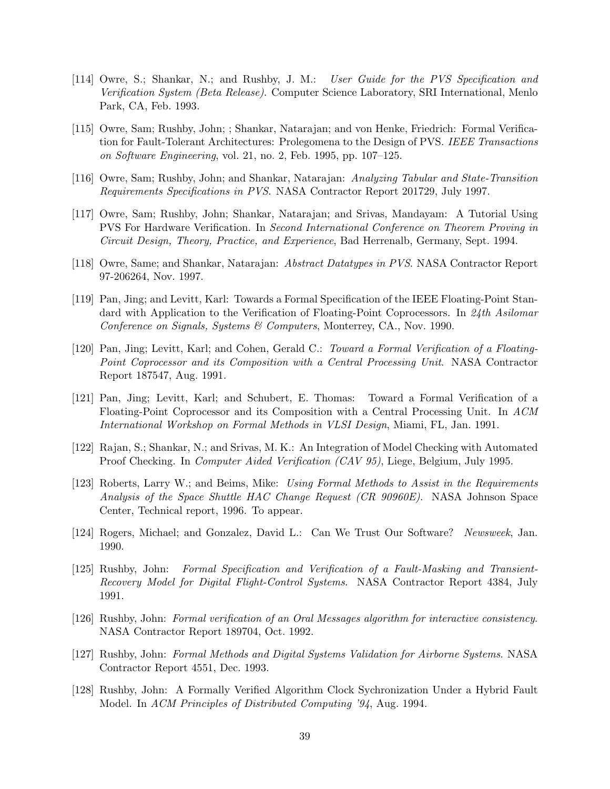- [114] Owre, S.; Shankar, N.; and Rushby, J. M.: User Guide for the PVS Specification and Verification System (Beta Release). Computer Science Laboratory, SRI International, Menlo Park, CA, Feb. 1993.
- [115] Owre, Sam; Rushby, John; ; Shankar, Natarajan; and von Henke, Friedrich: Formal Verification for Fault-Tolerant Architectures: Prolegomena to the Design of PVS. IEEE Transactions on Software Engineering, vol. 21, no. 2, Feb. 1995, pp. 107–125.
- [116] Owre, Sam; Rushby, John; and Shankar, Natarajan: Analyzing Tabular and State-Transition Requirements Specifications in PVS. NASA Contractor Report 201729, July 1997.
- [117] Owre, Sam; Rushby, John; Shankar, Natarajan; and Srivas, Mandayam: A Tutorial Using PVS For Hardware Verification. In Second International Conference on Theorem Proving in Circuit Design, Theory, Practice, and Experience, Bad Herrenalb, Germany, Sept. 1994.
- [118] Owre, Same; and Shankar, Natarajan: Abstract Datatypes in PVS. NASA Contractor Report 97-206264, Nov. 1997.
- [119] Pan, Jing; and Levitt, Karl: Towards a Formal Specification of the IEEE Floating-Point Standard with Application to the Verification of Floating-Point Coprocessors. In 24th Asilomar Conference on Signals, Systems & Computers, Monterrey, CA., Nov. 1990.
- [120] Pan, Jing; Levitt, Karl; and Cohen, Gerald C.: Toward a Formal Verification of a Floating-Point Coprocessor and its Composition with a Central Processing Unit. NASA Contractor Report 187547, Aug. 1991.
- [121] Pan, Jing; Levitt, Karl; and Schubert, E. Thomas: Toward a Formal Verification of a Floating-Point Coprocessor and its Composition with a Central Processing Unit. In ACM International Workshop on Formal Methods in VLSI Design, Miami, FL, Jan. 1991.
- [122] Rajan, S.; Shankar, N.; and Srivas, M. K.: An Integration of Model Checking with Automated Proof Checking. In Computer Aided Verification (CAV 95), Liege, Belgium, July 1995.
- [123] Roberts, Larry W.; and Beims, Mike: Using Formal Methods to Assist in the Requirements Analysis of the Space Shuttle HAC Change Request (CR 90960E). NASA Johnson Space Center, Technical report, 1996. To appear.
- [124] Rogers, Michael; and Gonzalez, David L.: Can We Trust Our Software? Newsweek, Jan. 1990.
- [125] Rushby, John: Formal Specification and Verification of a Fault-Masking and Transient-Recovery Model for Digital Flight-Control Systems. NASA Contractor Report 4384, July 1991.
- [126] Rushby, John: Formal verification of an Oral Messages algorithm for interactive consistency. NASA Contractor Report 189704, Oct. 1992.
- [127] Rushby, John: Formal Methods and Digital Systems Validation for Airborne Systems. NASA Contractor Report 4551, Dec. 1993.
- [128] Rushby, John: A Formally Verified Algorithm Clock Sychronization Under a Hybrid Fault Model. In ACM Principles of Distributed Computing '94, Aug. 1994.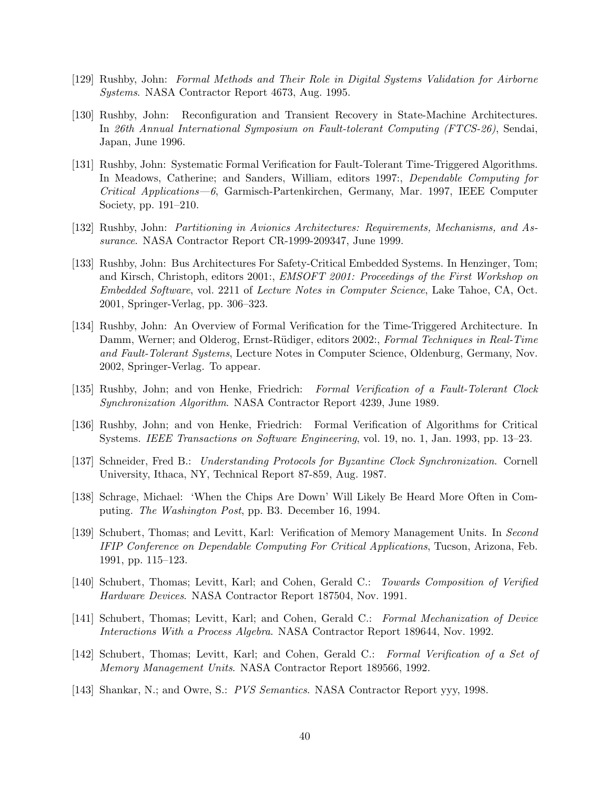- [129] Rushby, John: Formal Methods and Their Role in Digital Systems Validation for Airborne Systems. NASA Contractor Report 4673, Aug. 1995.
- [130] Rushby, John: Reconfiguration and Transient Recovery in State-Machine Architectures. In 26th Annual International Symposium on Fault-tolerant Computing (FTCS-26), Sendai, Japan, June 1996.
- [131] Rushby, John: Systematic Formal Verification for Fault-Tolerant Time-Triggered Algorithms. In Meadows, Catherine; and Sanders, William, editors 1997:, Dependable Computing for Critical Applications—6, Garmisch-Partenkirchen, Germany, Mar. 1997, IEEE Computer Society, pp. 191–210.
- [132] Rushby, John: Partitioning in Avionics Architectures: Requirements, Mechanisms, and Assurance. NASA Contractor Report CR-1999-209347, June 1999.
- [133] Rushby, John: Bus Architectures For Safety-Critical Embedded Systems. In Henzinger, Tom; and Kirsch, Christoph, editors 2001:, *EMSOFT 2001: Proceedings of the First Workshop on* Embedded Software, vol. 2211 of Lecture Notes in Computer Science, Lake Tahoe, CA, Oct. 2001, Springer-Verlag, pp. 306–323.
- [134] Rushby, John: An Overview of Formal Verification for the Time-Triggered Architecture. In Damm, Werner; and Olderog, Ernst-Rüdiger, editors 2002:, Formal Techniques in Real-Time and Fault-Tolerant Systems, Lecture Notes in Computer Science, Oldenburg, Germany, Nov. 2002, Springer-Verlag. To appear.
- [135] Rushby, John; and von Henke, Friedrich: Formal Verification of a Fault-Tolerant Clock Synchronization Algorithm. NASA Contractor Report 4239, June 1989.
- [136] Rushby, John; and von Henke, Friedrich: Formal Verification of Algorithms for Critical Systems. IEEE Transactions on Software Engineering, vol. 19, no. 1, Jan. 1993, pp. 13–23.
- [137] Schneider, Fred B.: Understanding Protocols for Byzantine Clock Synchronization. Cornell University, Ithaca, NY, Technical Report 87-859, Aug. 1987.
- [138] Schrage, Michael: 'When the Chips Are Down' Will Likely Be Heard More Often in Computing. The Washington Post, pp. B3. December 16, 1994.
- [139] Schubert, Thomas; and Levitt, Karl: Verification of Memory Management Units. In Second IFIP Conference on Dependable Computing For Critical Applications, Tucson, Arizona, Feb. 1991, pp. 115–123.
- [140] Schubert, Thomas; Levitt, Karl; and Cohen, Gerald C.: Towards Composition of Verified Hardware Devices. NASA Contractor Report 187504, Nov. 1991.
- [141] Schubert, Thomas; Levitt, Karl; and Cohen, Gerald C.: Formal Mechanization of Device Interactions With a Process Algebra. NASA Contractor Report 189644, Nov. 1992.
- [142] Schubert, Thomas; Levitt, Karl; and Cohen, Gerald C.: Formal Verification of a Set of Memory Management Units. NASA Contractor Report 189566, 1992.
- [143] Shankar, N.; and Owre, S.: PVS Semantics. NASA Contractor Report yyy, 1998.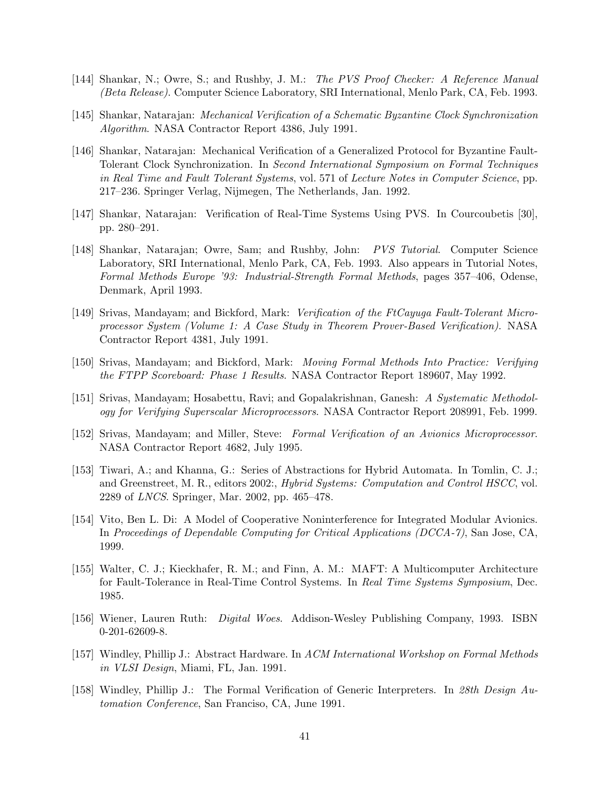- [144] Shankar, N.; Owre, S.; and Rushby, J. M.: The PVS Proof Checker: A Reference Manual (Beta Release). Computer Science Laboratory, SRI International, Menlo Park, CA, Feb. 1993.
- [145] Shankar, Natarajan: Mechanical Verification of a Schematic Byzantine Clock Synchronization Algorithm. NASA Contractor Report 4386, July 1991.
- [146] Shankar, Natarajan: Mechanical Verification of a Generalized Protocol for Byzantine Fault-Tolerant Clock Synchronization. In Second International Symposium on Formal Techniques in Real Time and Fault Tolerant Systems, vol. 571 of Lecture Notes in Computer Science, pp. 217–236. Springer Verlag, Nijmegen, The Netherlands, Jan. 1992.
- [147] Shankar, Natarajan: Verification of Real-Time Systems Using PVS. In Courcoubetis [30], pp. 280–291.
- [148] Shankar, Natarajan; Owre, Sam; and Rushby, John: PVS Tutorial. Computer Science Laboratory, SRI International, Menlo Park, CA, Feb. 1993. Also appears in Tutorial Notes, Formal Methods Europe '93: Industrial-Strength Formal Methods, pages 357–406, Odense, Denmark, April 1993.
- [149] Srivas, Mandayam; and Bickford, Mark: Verification of the FtCayuga Fault-Tolerant Microprocessor System (Volume 1: A Case Study in Theorem Prover-Based Verification). NASA Contractor Report 4381, July 1991.
- [150] Srivas, Mandayam; and Bickford, Mark: Moving Formal Methods Into Practice: Verifying the FTPP Scoreboard: Phase 1 Results. NASA Contractor Report 189607, May 1992.
- [151] Srivas, Mandayam; Hosabettu, Ravi; and Gopalakrishnan, Ganesh: A Systematic Methodology for Verifying Superscalar Microprocessors. NASA Contractor Report 208991, Feb. 1999.
- [152] Srivas, Mandayam; and Miller, Steve: Formal Verification of an Avionics Microprocessor. NASA Contractor Report 4682, July 1995.
- [153] Tiwari, A.; and Khanna, G.: Series of Abstractions for Hybrid Automata. In Tomlin, C. J.; and Greenstreet, M. R., editors 2002:, Hybrid Systems: Computation and Control HSCC, vol. 2289 of LNCS. Springer, Mar. 2002, pp. 465–478.
- [154] Vito, Ben L. Di: A Model of Cooperative Noninterference for Integrated Modular Avionics. In Proceedings of Dependable Computing for Critical Applications (DCCA-7), San Jose, CA, 1999.
- [155] Walter, C. J.; Kieckhafer, R. M.; and Finn, A. M.: MAFT: A Multicomputer Architecture for Fault-Tolerance in Real-Time Control Systems. In Real Time Systems Symposium, Dec. 1985.
- [156] Wiener, Lauren Ruth: Digital Woes. Addison-Wesley Publishing Company, 1993. ISBN 0-201-62609-8.
- [157] Windley, Phillip J.: Abstract Hardware. In ACM International Workshop on Formal Methods in VLSI Design, Miami, FL, Jan. 1991.
- [158] Windley, Phillip J.: The Formal Verification of Generic Interpreters. In 28th Design Automation Conference, San Franciso, CA, June 1991.